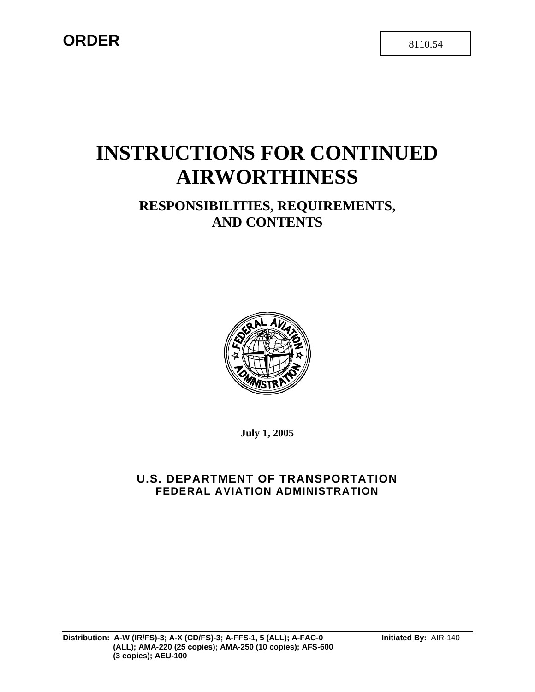## **ORDER** 8110.54

# **INSTRUCTIONS FOR CONTINUED AIRWORTHINESS**

## **RESPONSIBILITIES, REQUIREMENTS, AND CONTENTS**



**July 1, 2005** 

## **U.S. DEPARTMENT OF TRANSPORTATION FEDERAL AVIATION ADMINISTRATION**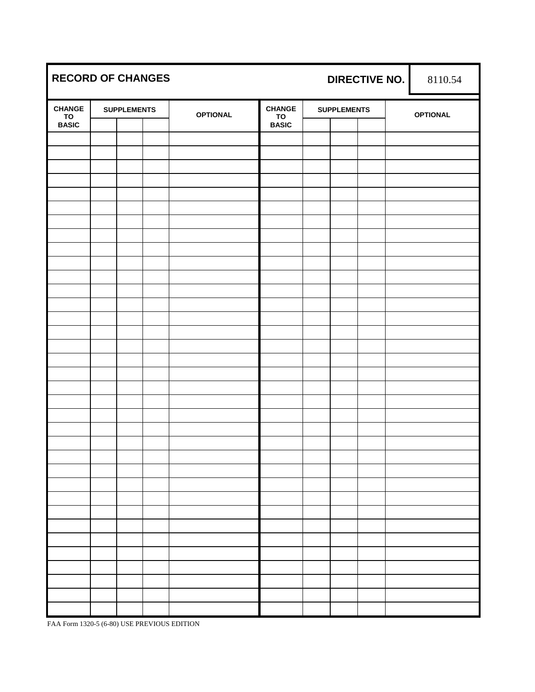| <b>RECORD OF CHANGES</b> |  |                    |  | <b>DIRECTIVE NO.</b> |                     |  | 8110.54            |  |  |                 |
|--------------------------|--|--------------------|--|----------------------|---------------------|--|--------------------|--|--|-----------------|
| <b>CHANGE</b><br>TO      |  | <b>SUPPLEMENTS</b> |  | <b>OPTIONAL</b>      | <b>CHANGE</b><br>TO |  | <b>SUPPLEMENTS</b> |  |  | <b>OPTIONAL</b> |
| <b>BASIC</b>             |  |                    |  |                      | <b>BASIC</b>        |  |                    |  |  |                 |
|                          |  |                    |  |                      |                     |  |                    |  |  |                 |
|                          |  |                    |  |                      |                     |  |                    |  |  |                 |
|                          |  |                    |  |                      |                     |  |                    |  |  |                 |
|                          |  |                    |  |                      |                     |  |                    |  |  |                 |
|                          |  |                    |  |                      |                     |  |                    |  |  |                 |
|                          |  |                    |  |                      |                     |  |                    |  |  |                 |
|                          |  |                    |  |                      |                     |  |                    |  |  |                 |
|                          |  |                    |  |                      |                     |  |                    |  |  |                 |
|                          |  |                    |  |                      |                     |  |                    |  |  |                 |
|                          |  |                    |  |                      |                     |  |                    |  |  |                 |
|                          |  |                    |  |                      |                     |  |                    |  |  |                 |
|                          |  |                    |  |                      |                     |  |                    |  |  |                 |
|                          |  |                    |  |                      |                     |  |                    |  |  |                 |
|                          |  |                    |  |                      |                     |  |                    |  |  |                 |
|                          |  |                    |  |                      |                     |  |                    |  |  |                 |
|                          |  |                    |  |                      |                     |  |                    |  |  |                 |
|                          |  |                    |  |                      |                     |  |                    |  |  |                 |
|                          |  |                    |  |                      |                     |  |                    |  |  |                 |
|                          |  |                    |  |                      |                     |  |                    |  |  |                 |
|                          |  |                    |  |                      |                     |  |                    |  |  |                 |
|                          |  |                    |  |                      |                     |  |                    |  |  |                 |
|                          |  |                    |  |                      |                     |  |                    |  |  |                 |
|                          |  |                    |  |                      |                     |  |                    |  |  |                 |
|                          |  |                    |  |                      |                     |  |                    |  |  |                 |
|                          |  |                    |  |                      |                     |  |                    |  |  |                 |
|                          |  |                    |  |                      |                     |  |                    |  |  |                 |
|                          |  |                    |  |                      |                     |  |                    |  |  |                 |
|                          |  |                    |  |                      |                     |  |                    |  |  |                 |
|                          |  |                    |  |                      |                     |  |                    |  |  |                 |
|                          |  |                    |  |                      |                     |  |                    |  |  |                 |
|                          |  |                    |  |                      |                     |  |                    |  |  |                 |
|                          |  |                    |  |                      |                     |  |                    |  |  |                 |
|                          |  |                    |  |                      |                     |  |                    |  |  |                 |
|                          |  |                    |  |                      |                     |  |                    |  |  |                 |

FAA Form 1320-5 (6-80) USE PREVIOUS EDITION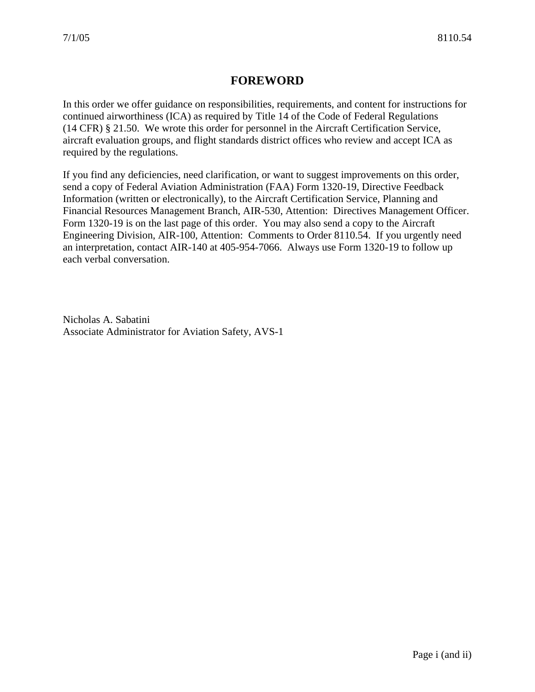## **FOREWORD**

In this order we offer guidance on responsibilities, requirements, and content for instructions for continued airworthiness (ICA) as required by Title 14 of the Code of Federal Regulations (14 CFR) § 21.50. We wrote this order for personnel in the Aircraft Certification Service, aircraft evaluation groups, and flight standards district offices who review and accept ICA as required by the regulations.

If you find any deficiencies, need clarification, or want to suggest improvements on this order, send a copy of Federal Aviation Administration (FAA) Form 1320-19, Directive Feedback Information (written or electronically), to the Aircraft Certification Service, Planning and Financial Resources Management Branch, AIR-530, Attention: Directives Management Officer. Form 1320-19 is on the last page of this order. You may also send a copy to the Aircraft Engineering Division, AIR-100, Attention: Comments to Order 8110.54. If you urgently need an interpretation, contact AIR-140 at 405-954-7066. Always use Form 1320-19 to follow up each verbal conversation.

Nicholas A. Sabatini Associate Administrator for Aviation Safety, AVS-1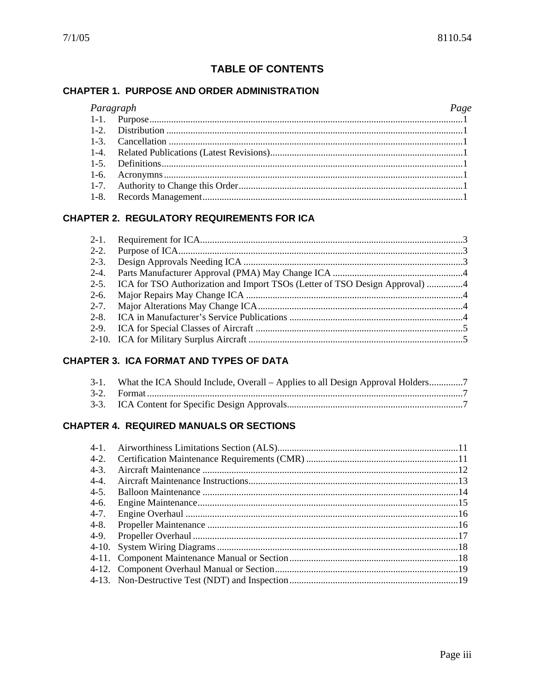### **TABLE OF CONTENTS**

#### **CHAPTER 1. PURPOSE AND ORDER ADMINISTRATION**

#### $P_{\theta}$

| Paragraph | Page |
|-----------|------|
|           |      |
|           |      |
|           |      |
|           |      |
|           |      |
|           |      |
|           |      |
|           |      |

#### **CHAPTER 2. REGULATORY REQUIREMENTS FOR ICA**

| 2-5. ICA for TSO Authorization and Import TSOs (Letter of TSO Design Approval) 4 |  |
|----------------------------------------------------------------------------------|--|
|                                                                                  |  |
|                                                                                  |  |
|                                                                                  |  |
|                                                                                  |  |
|                                                                                  |  |
|                                                                                  |  |

#### **CHAPTER 3. ICA FORMAT AND TYPES OF DATA**

| 3-1. What the ICA Should Include, Overall – Applies to all Design Approval Holders |
|------------------------------------------------------------------------------------|
|                                                                                    |
|                                                                                    |

#### **CHAPTER 4. REQUIRED MANUALS OR SECTIONS**

| $4-1.$    |  |
|-----------|--|
| $4 - 2$ . |  |
| $4-3.$    |  |
| $4 - 4$ . |  |
| $4-5.$    |  |
| $4-6.$    |  |
| $4 - 7.$  |  |
| $4 - 8$ . |  |
| 4-9.      |  |
|           |  |
|           |  |
|           |  |
|           |  |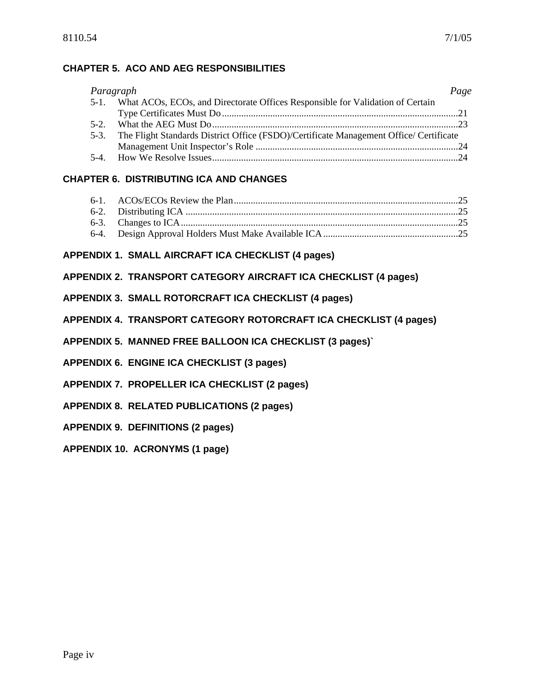#### **CHAPTER 5. ACO AND AEG RESPONSIBILITIES**

| Paragraph |                                                                                        | Page |
|-----------|----------------------------------------------------------------------------------------|------|
|           | 5-1. What ACOs, ECOs, and Directorate Offices Responsible for Validation of Certain    |      |
|           |                                                                                        |      |
|           |                                                                                        |      |
| $5-3.$    | The Flight Standards District Office (FSDO)/Certificate Management Office/ Certificate |      |
|           |                                                                                        |      |
|           |                                                                                        |      |

#### **CHAPTER 6. DISTRIBUTING ICA AND CHANGES**

#### **APPENDIX 1. SMALL AIRCRAFT ICA CHECKLIST (4 pages)**

#### **[APPENDIX 2. TRANSPORT CATEGORY AIRCRAFT ICA CHECKLIST \(4 pages\)](#page-38-0)**

**[APPENDIX 3. SMALL ROTORCRAFT ICA CHECKLIST \(4 pages\)](#page-42-0)**

#### **[APPENDIX 4. TRANSPORT CATEGORY ROTORCRAFT ICA CHECKLIST \(4 pages\)](#page-46-0)**

- **[APPENDIX 5. MANNED FREE BALLOON ICA CHECKLIST \(3 pages\)](#page-50-0)`**
- **[APPENDIX 6. ENGINE ICA CHECKLIST \(3 pages\)](#page-54-0)**
- **[APPENDIX 7. PROPELLER ICA CHECKLIST \(2 pages\)](#page-58-0)**
- **[APPENDIX 8. RELATED PUBLICATIONS \(2 pages\)](#page-60-0)**
- **[APPENDIX 9. DEFINITIONS \(2 pages\)](#page-62-0)**
- **[APPENDIX 10. ACRONYMS \(1 page\)](#page-64-0)**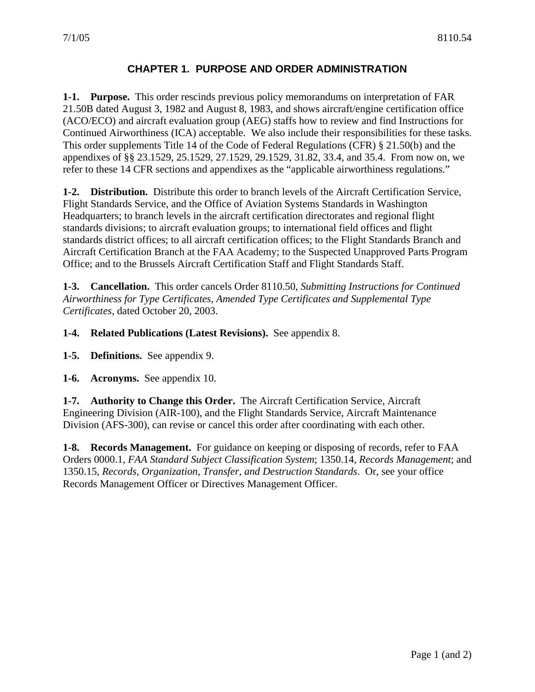#### **CHAPTER 1. PURPOSE AND ORDER ADMINISTRATION**

<span id="page-6-0"></span>**1-1. Purpose.** This order rescinds previous policy memorandums on interpretation of FAR 21.50B dated August 3, 1982 and August 8, 1983, and shows aircraft/engine certification office (ACO/ECO) and aircraft evaluation group (AEG) staffs how to review and find Instructions for Continued Airworthiness (ICA) acceptable. We also include their responsibilities for these tasks. This order supplements Title 14 of the Code of Federal Regulations (CFR) § 21.50(b) and the appendixes of §§ 23.1529, 25.1529, 27.1529, 29.1529, 31.82, 33.4, and 35.4. From now on, we refer to these 14 CFR sections and appendixes as the "applicable airworthiness regulations."

**1-2. Distribution.** Distribute this order to branch levels of the Aircraft Certification Service, Flight Standards Service, and the Office of Aviation Systems Standards in Washington Headquarters; to branch levels in the aircraft certification directorates and regional flight standards divisions; to aircraft evaluation groups; to international field offices and flight standards district offices; to all aircraft certification offices; to the Flight Standards Branch and Aircraft Certification Branch at the FAA Academy; to the Suspected Unapproved Parts Program Office; and to the Brussels Aircraft Certification Staff and Flight Standards Staff.

**1-3. Cancellation.** This order cancels Order 8110.50, *Submitting Instructions for Continued Airworthiness for Type Certificates, Amended Type Certificates and Supplemental Type Certificates*, dated October 20, 2003.

**1-4. Related Publications (Latest Revisions).** See appendix 8.

**1-5. Definitions.** See appendix 9.

**1-6. Acronyms.** See appendix 10.

**1-7. Authority to Change this Order.** The Aircraft Certification Service, Aircraft Engineering Division (AIR-100), and the Flight Standards Service, Aircraft Maintenance Division (AFS-300), can revise or cancel this order after coordinating with each other.

**1-8. Records Management.** For guidance on keeping or disposing of records, refer to FAA Orders 0000.1, *FAA Standard Subject Classification System*; 1350.14, *Records Management*; and 1350.15, *Records, Organization, Transfer, and Destruction Standards*. Or, see your office Records Management Officer or Directives Management Officer.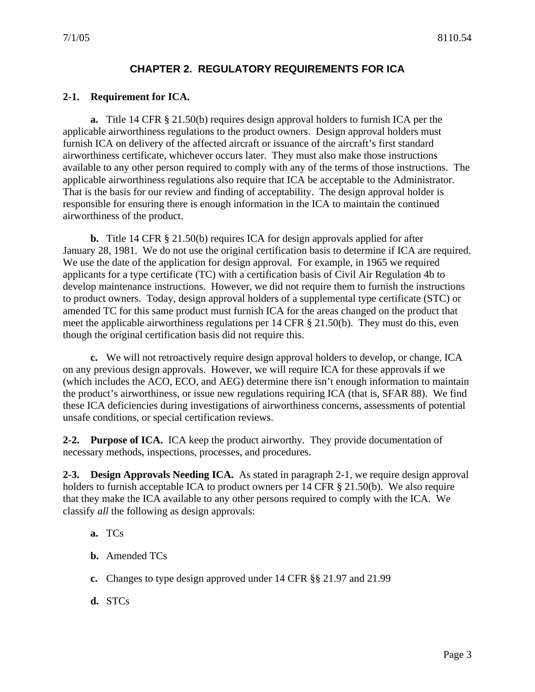#### **CHAPTER 2. REGULATORY REQUIREMENTS FOR ICA**

#### <span id="page-8-0"></span>**2-1. Requirement for ICA.**

**a.** Title 14 CFR § 21.50(b) requires design approval holders to furnish ICA per the applicable airworthiness regulations to the product owners. Design approval holders must furnish ICA on delivery of the affected aircraft or issuance of the aircraft's first standard airworthiness certificate, whichever occurs later. They must also make those instructions available to any other person required to comply with any of the terms of those instructions. The applicable airworthiness regulations also require that ICA be acceptable to the Administrator. That is the basis for our review and finding of acceptability. The design approval holder is responsible for ensuring there is enough information in the ICA to maintain the continued airworthiness of the product.

**b.** Title 14 CFR § 21.50(b) requires ICA for design approvals applied for after January 28, 1981. We do not use the original certification basis to determine if ICA are required. We use the date of the application for design approval. For example, in 1965 we required applicants for a type certificate (TC) with a certification basis of Civil Air Regulation 4b to develop maintenance instructions. However, we did not require them to furnish the instructions to product owners. Today, design approval holders of a supplemental type certificate (STC) or amended TC for this same product must furnish ICA for the areas changed on the product that meet the applicable airworthiness regulations per 14 CFR § 21.50(b). They must do this, even though the original certification basis did not require this.

**c.** We will not retroactively require design approval holders to develop, or change, ICA on any previous design approvals. However, we will require ICA for these approvals if we (which includes the ACO, ECO, and AEG) determine there isn't enough information to maintain the product's airworthiness, or issue new regulations requiring ICA (that is, SFAR 88). We find these ICA deficiencies during investigations of airworthiness concerns, assessments of potential unsafe conditions, or special certification reviews.

**2-2. Purpose of ICA.** ICA keep the product airworthy. They provide documentation of necessary methods, inspections, processes, and procedures.

**2-3. Design Approvals Needing ICA.** As stated in paragraph 2-1, we require design approval holders to furnish acceptable ICA to product owners per 14 CFR § 21.50(b). We also require that they make the ICA available to any other persons required to comply with the ICA. We classify *all* the following as design approvals:

- **a.** TCs
- **b.** Amended TCs
- **c.** Changes to type design approved under 14 CFR §§ 21.97 and 21.99
- **d.** STCs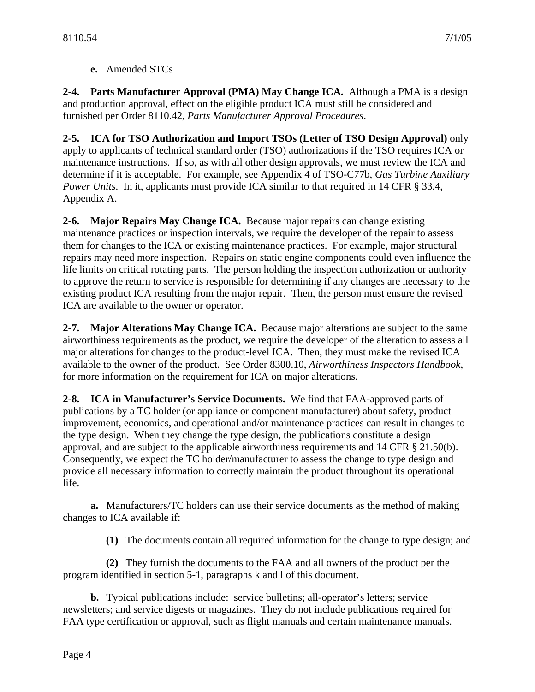**e.** Amended STCs

<span id="page-9-0"></span>**2-4. Parts Manufacturer Approval (PMA) May Change ICA.** Although a PMA is a design and production approval, effect on the eligible product ICA must still be considered and furnished per Order 8110.42, *Parts Manufacturer Approval Procedures*.

**2-5. ICA for TSO Authorization and Import TSOs (Letter of TSO Design Approval)** only apply to applicants of technical standard order (TSO) authorizations if the TSO requires ICA or maintenance instructions. If so, as with all other design approvals, we must review the ICA and determine if it is acceptable. For example, see Appendix 4 of TSO-C77b, *Gas Turbine Auxiliary Power Units*. In it, applicants must provide ICA similar to that required in 14 CFR § 33.4, Appendix A.

**2-6. Major Repairs May Change ICA.** Because major repairs can change existing maintenance practices or inspection intervals, we require the developer of the repair to assess them for changes to the ICA or existing maintenance practices. For example, major structural repairs may need more inspection. Repairs on static engine components could even influence the life limits on critical rotating parts. The person holding the inspection authorization or authority to approve the return to service is responsible for determining if any changes are necessary to the existing product ICA resulting from the major repair. Then, the person must ensure the revised ICA are available to the owner or operator.

**2-7. Major Alterations May Change ICA.** Because major alterations are subject to the same airworthiness requirements as the product, we require the developer of the alteration to assess all major alterations for changes to the product-level ICA. Then, they must make the revised ICA available to the owner of the product. See Order 8300.10, *Airworthiness Inspectors Handbook*, for more information on the requirement for ICA on major alterations.

**2-8. ICA in Manufacturer's Service Documents.** We find that FAA-approved parts of publications by a TC holder (or appliance or component manufacturer) about safety, product improvement, economics, and operational and/or maintenance practices can result in changes to the type design. When they change the type design, the publications constitute a design approval, and are subject to the applicable airworthiness requirements and 14 CFR § 21.50(b). Consequently, we expect the TC holder/manufacturer to assess the change to type design and provide all necessary information to correctly maintain the product throughout its operational life.

**a.** Manufacturers/TC holders can use their service documents as the method of making changes to ICA available if:

**(1)** The documents contain all required information for the change to type design; and

**(2)** They furnish the documents to the FAA and all owners of the product per the program identified in section 5-1, paragraphs k and l of this document.

**b.** Typical publications include: service bulletins; all-operator's letters; service newsletters; and service digests or magazines. They do not include publications required for FAA type certification or approval, such as flight manuals and certain maintenance manuals.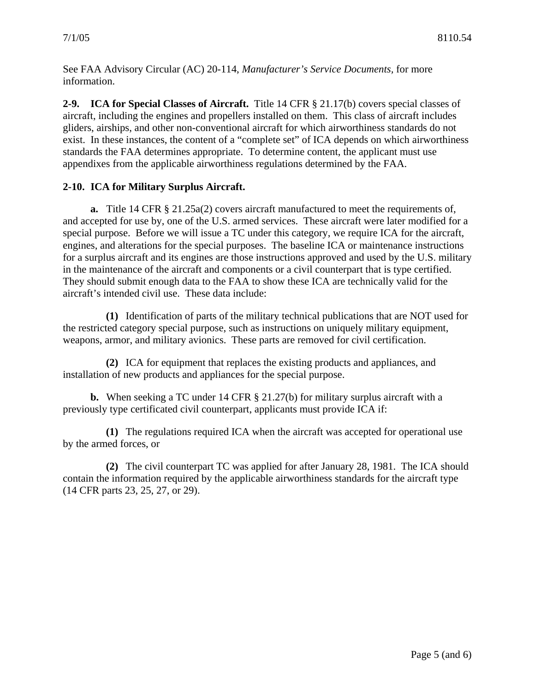<span id="page-10-0"></span>See FAA Advisory Circular (AC) 20-114, *Manufacturer's Service Documents,* for more information.

**2-9. ICA for Special Classes of Aircraft.** Title 14 CFR § 21.17(b) covers special classes of aircraft, including the engines and propellers installed on them. This class of aircraft includes gliders, airships, and other non-conventional aircraft for which airworthiness standards do not exist. In these instances, the content of a "complete set" of ICA depends on which airworthiness standards the FAA determines appropriate. To determine content, the applicant must use appendixes from the applicable airworthiness regulations determined by the FAA.

#### **2-10. ICA for Military Surplus Aircraft.**

**a.** Title 14 CFR § 21.25a(2) covers aircraft manufactured to meet the requirements of, and accepted for use by, one of the U.S. armed services. These aircraft were later modified for a special purpose. Before we will issue a TC under this category, we require ICA for the aircraft, engines, and alterations for the special purposes. The baseline ICA or maintenance instructions for a surplus aircraft and its engines are those instructions approved and used by the U.S. military in the maintenance of the aircraft and components or a civil counterpart that is type certified. They should submit enough data to the FAA to show these ICA are technically valid for the aircraft's intended civil use. These data include:

**(1)** Identification of parts of the military technical publications that are NOT used for the restricted category special purpose, such as instructions on uniquely military equipment, weapons, armor, and military avionics. These parts are removed for civil certification.

**(2)** ICA for equipment that replaces the existing products and appliances, and installation of new products and appliances for the special purpose.

**b.** When seeking a TC under 14 CFR § 21.27(b) for military surplus aircraft with a previously type certificated civil counterpart, applicants must provide ICA if:

**(1)** The regulations required ICA when the aircraft was accepted for operational use by the armed forces, or

**(2)** The civil counterpart TC was applied for after January 28, 1981. The ICA should contain the information required by the applicable airworthiness standards for the aircraft type (14 CFR parts 23, 25, 27, or 29).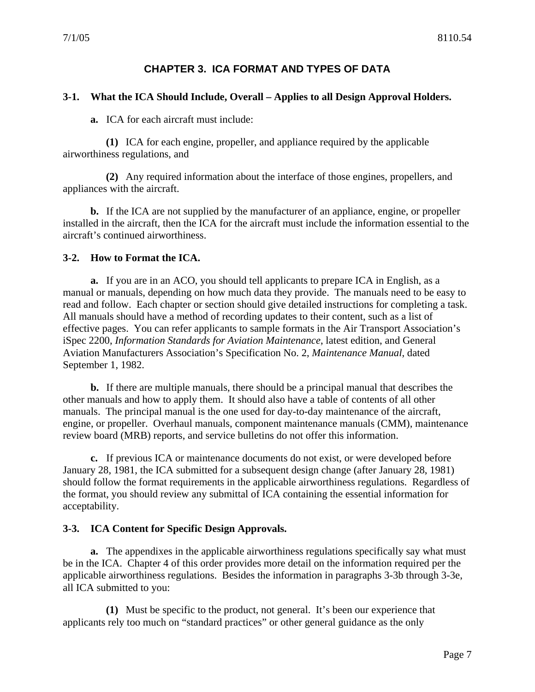#### **CHAPTER 3. ICA FORMAT AND TYPES OF DATA**

#### <span id="page-12-0"></span>**3-1. What the ICA Should Include, Overall – Applies to all Design Approval Holders.**

**a.** ICA for each aircraft must include:

**(1)** ICA for each engine, propeller, and appliance required by the applicable airworthiness regulations, and

**(2)** Any required information about the interface of those engines, propellers, and appliances with the aircraft.

**b.** If the ICA are not supplied by the manufacturer of an appliance, engine, or propeller installed in the aircraft, then the ICA for the aircraft must include the information essential to the aircraft's continued airworthiness.

#### **3-2. How to Format the ICA.**

**a.** If you are in an ACO, you should tell applicants to prepare ICA in English, as a manual or manuals, depending on how much data they provide. The manuals need to be easy to read and follow. Each chapter or section should give detailed instructions for completing a task. All manuals should have a method of recording updates to their content, such as a list of effective pages. You can refer applicants to sample formats in the Air Transport Association's iSpec 2200, *Information Standards for Aviation Maintenance*, latest edition, and General Aviation Manufacturers Association's Specification No. 2, *Maintenance Manual*, dated September 1, 1982.

**b.** If there are multiple manuals, there should be a principal manual that describes the other manuals and how to apply them. It should also have a table of contents of all other manuals. The principal manual is the one used for day-to-day maintenance of the aircraft, engine, or propeller. Overhaul manuals, component maintenance manuals (CMM), maintenance review board (MRB) reports, and service bulletins do not offer this information.

**c.** If previous ICA or maintenance documents do not exist, or were developed before January 28, 1981, the ICA submitted for a subsequent design change (after January 28, 1981) should follow the format requirements in the applicable airworthiness regulations. Regardless of the format, you should review any submittal of ICA containing the essential information for acceptability.

#### **3-3. ICA Content for Specific Design Approvals.**

**a.** The appendixes in the applicable airworthiness regulations specifically say what must be in the ICA. Chapter 4 of this order provides more detail on the information required per the applicable airworthiness regulations. Besides the information in paragraphs 3-3b through 3-3e, all ICA submitted to you:

**(1)** Must be specific to the product, not general. It's been our experience that applicants rely too much on "standard practices" or other general guidance as the only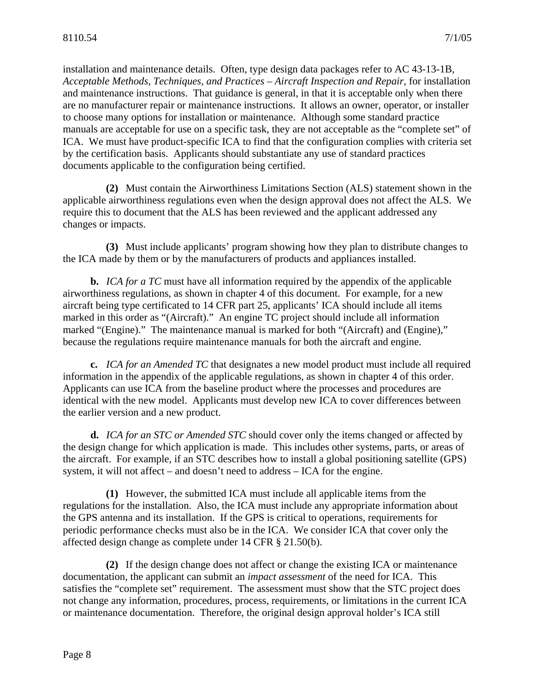installation and maintenance details. Often, type design data packages refer to AC 43-13-1B, *Acceptable Methods, Techniques, and Practices – Aircraft Inspection and Repair*, for installation and maintenance instructions. That guidance is general, in that it is acceptable only when there are no manufacturer repair or maintenance instructions. It allows an owner, operator, or installer to choose many options for installation or maintenance. Although some standard practice manuals are acceptable for use on a specific task, they are not acceptable as the "complete set" of ICA. We must have product-specific ICA to find that the configuration complies with criteria set by the certification basis. Applicants should substantiate any use of standard practices documents applicable to the configuration being certified.

**(2)** Must contain the Airworthiness Limitations Section (ALS) statement shown in the applicable airworthiness regulations even when the design approval does not affect the ALS. We require this to document that the ALS has been reviewed and the applicant addressed any changes or impacts.

**(3)** Must include applicants' program showing how they plan to distribute changes to the ICA made by them or by the manufacturers of products and appliances installed.

**b.** *ICA for a TC* must have all information required by the appendix of the applicable airworthiness regulations, as shown in chapter 4 of this document. For example, for a new aircraft being type certificated to 14 CFR part 25, applicants' ICA should include all items marked in this order as "(Aircraft)." An engine TC project should include all information marked "(Engine)." The maintenance manual is marked for both "(Aircraft) and (Engine)," because the regulations require maintenance manuals for both the aircraft and engine.

**c.** *ICA for an Amended TC* that designates a new model product must include all required information in the appendix of the applicable regulations, as shown in chapter 4 of this order. Applicants can use ICA from the baseline product where the processes and procedures are identical with the new model. Applicants must develop new ICA to cover differences between the earlier version and a new product.

**d.** *ICA for an STC or Amended STC* should cover only the items changed or affected by the design change for which application is made. This includes other systems, parts, or areas of the aircraft. For example, if an STC describes how to install a global positioning satellite (GPS) system, it will not affect – and doesn't need to address – ICA for the engine.

**(1)** However, the submitted ICA must include all applicable items from the regulations for the installation. Also, the ICA must include any appropriate information about the GPS antenna and its installation. If the GPS is critical to operations, requirements for periodic performance checks must also be in the ICA. We consider ICA that cover only the affected design change as complete under 14 CFR § 21.50(b).

**(2)** If the design change does not affect or change the existing ICA or maintenance documentation, the applicant can submit an *impact assessment* of the need for ICA. This satisfies the "complete set" requirement. The assessment must show that the STC project does not change any information, procedures, process, requirements, or limitations in the current ICA or maintenance documentation. Therefore, the original design approval holder's ICA still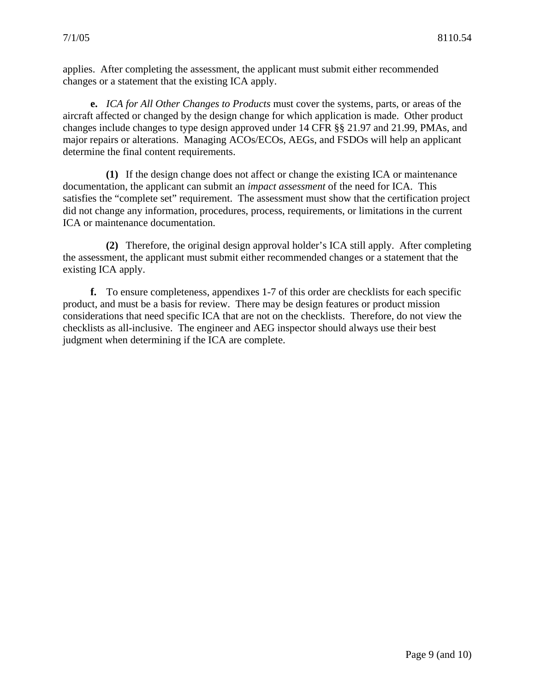applies. After completing the assessment, the applicant must submit either recommended changes or a statement that the existing ICA apply.

**e.** *ICA for All Other Changes to Products* must cover the systems, parts, or areas of the aircraft affected or changed by the design change for which application is made. Other product changes include changes to type design approved under 14 CFR §§ 21.97 and 21.99, PMAs, and major repairs or alterations. Managing ACOs/ECOs, AEGs, and FSDOs will help an applicant determine the final content requirements.

**(1)** If the design change does not affect or change the existing ICA or maintenance documentation, the applicant can submit an *impact assessment* of the need for ICA. This satisfies the "complete set" requirement. The assessment must show that the certification project did not change any information, procedures, process, requirements, or limitations in the current ICA or maintenance documentation.

**(2)** Therefore, the original design approval holder's ICA still apply. After completing the assessment, the applicant must submit either recommended changes or a statement that the existing ICA apply.

**f.** To ensure completeness, appendixes 1-7 of this order are checklists for each specific product, and must be a basis for review. There may be design features or product mission considerations that need specific ICA that are not on the checklists. Therefore, do not view the checklists as all-inclusive. The engineer and AEG inspector should always use their best judgment when determining if the ICA are complete.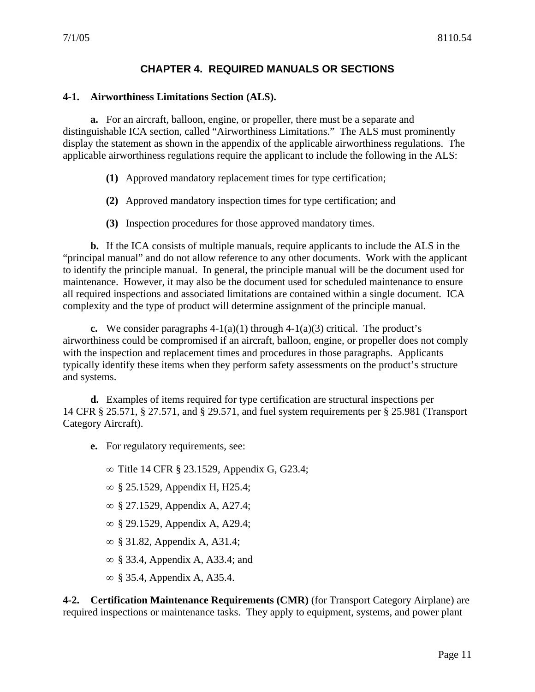#### **CHAPTER 4. REQUIRED MANUALS OR SECTIONS**

#### <span id="page-16-0"></span>**4-1. Airworthiness Limitations Section (ALS).**

**a.** For an aircraft, balloon, engine, or propeller, there must be a separate and distinguishable ICA section, called "Airworthiness Limitations." The ALS must prominently display the statement as shown in the appendix of the applicable airworthiness regulations. The applicable airworthiness regulations require the applicant to include the following in the ALS:

- **(1)** Approved mandatory replacement times for type certification;
- **(2)** Approved mandatory inspection times for type certification; and
- **(3)** Inspection procedures for those approved mandatory times.

**b.** If the ICA consists of multiple manuals, require applicants to include the ALS in the "principal manual" and do not allow reference to any other documents. Work with the applicant to identify the principle manual. In general, the principle manual will be the document used for maintenance. However, it may also be the document used for scheduled maintenance to ensure all required inspections and associated limitations are contained within a single document. ICA complexity and the type of product will determine assignment of the principle manual.

**c.** We consider paragraphs  $4-1(a)(1)$  through  $4-1(a)(3)$  critical. The product's airworthiness could be compromised if an aircraft, balloon, engine, or propeller does not comply with the inspection and replacement times and procedures in those paragraphs. Applicants typically identify these items when they perform safety assessments on the product's structure and systems.

**d.** Examples of items required for type certification are structural inspections per 14 CFR § 25.571, § 27.571, and § 29.571, and fuel system requirements per § 25.981 (Transport Category Aircraft).

**e.** For regulatory requirements, see:

∞ Title 14 CFR § 23.1529, Appendix G, G23.4;

- ∞ § 25.1529, Appendix H, H25.4;
- ∞ § 27.1529, Appendix A, A27.4;
- ∞ § 29.1529, Appendix A, A29.4;
- ∞ § 31.82, Appendix A, A31.4;
- ∞ § 33.4, Appendix A, A33.4; and
- ∞ § 35.4, Appendix A, A35.4.

**4-2. Certification Maintenance Requirements (CMR)** (for Transport Category Airplane) are required inspections or maintenance tasks. They apply to equipment, systems, and power plant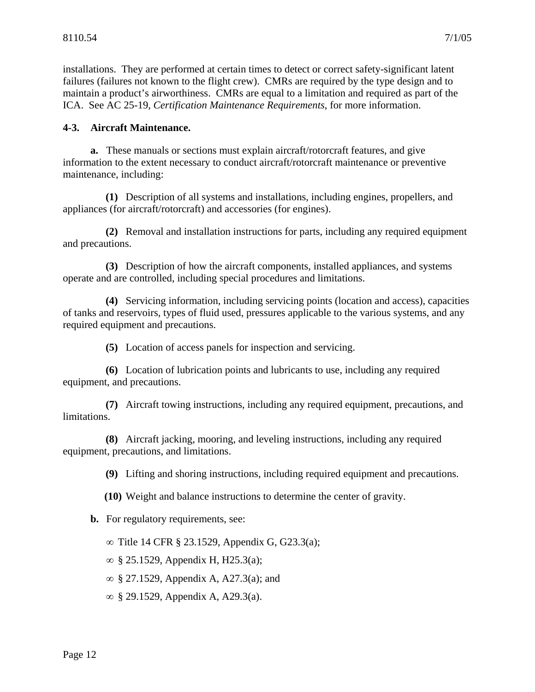<span id="page-17-0"></span>installations. They are performed at certain times to detect or correct safety-significant latent failures (failures not known to the flight crew). CMRs are required by the type design and to maintain a product's airworthiness. CMRs are equal to a limitation and required as part of the ICA. See AC 25-19, *Certification Maintenance Requirements*, for more information.

#### **4-3. Aircraft Maintenance.**

**a.** These manuals or sections must explain aircraft/rotorcraft features, and give information to the extent necessary to conduct aircraft/rotorcraft maintenance or preventive maintenance, including:

**(1)** Description of all systems and installations, including engines, propellers, and appliances (for aircraft/rotorcraft) and accessories (for engines).

**(2)** Removal and installation instructions for parts, including any required equipment and precautions.

**(3)** Description of how the aircraft components, installed appliances, and systems operate and are controlled, including special procedures and limitations.

**(4)** Servicing information, including servicing points (location and access), capacities of tanks and reservoirs, types of fluid used, pressures applicable to the various systems, and any required equipment and precautions.

**(5)** Location of access panels for inspection and servicing.

**(6)** Location of lubrication points and lubricants to use, including any required equipment, and precautions.

**(7)** Aircraft towing instructions, including any required equipment, precautions, and limitations.

**(8)** Aircraft jacking, mooring, and leveling instructions, including any required equipment, precautions, and limitations.

**(9)** Lifting and shoring instructions, including required equipment and precautions.

**(10)** Weight and balance instructions to determine the center of gravity.

**b.** For regulatory requirements, see:

∞ Title 14 CFR § 23.1529, Appendix G, G23.3(a);

∞ § 25.1529, Appendix H, H25.3(a);

∞ § 27.1529, Appendix A, A27.3(a); and

∞ § 29.1529, Appendix A, A29.3(a).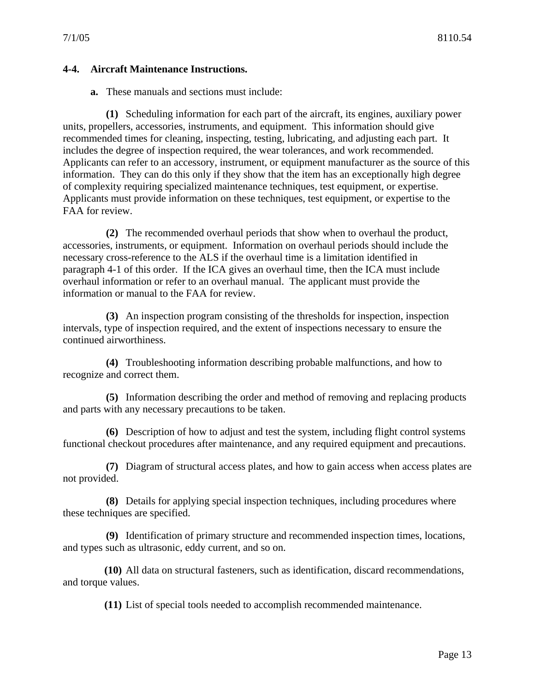#### <span id="page-18-0"></span>**4-4. Aircraft Maintenance Instructions.**

**a.** These manuals and sections must include:

**(1)** Scheduling information for each part of the aircraft, its engines, auxiliary power units, propellers, accessories, instruments, and equipment. This information should give recommended times for cleaning, inspecting, testing, lubricating, and adjusting each part. It includes the degree of inspection required, the wear tolerances, and work recommended. Applicants can refer to an accessory, instrument, or equipment manufacturer as the source of this information. They can do this only if they show that the item has an exceptionally high degree of complexity requiring specialized maintenance techniques, test equipment, or expertise. Applicants must provide information on these techniques, test equipment, or expertise to the FAA for review.

**(2)** The recommended overhaul periods that show when to overhaul the product, accessories, instruments, or equipment. Information on overhaul periods should include the necessary cross-reference to the ALS if the overhaul time is a limitation identified in paragraph 4-1 of this order. If the ICA gives an overhaul time, then the ICA must include overhaul information or refer to an overhaul manual. The applicant must provide the information or manual to the FAA for review.

**(3)** An inspection program consisting of the thresholds for inspection, inspection intervals, type of inspection required, and the extent of inspections necessary to ensure the continued airworthiness.

**(4)** Troubleshooting information describing probable malfunctions, and how to recognize and correct them.

**(5)** Information describing the order and method of removing and replacing products and parts with any necessary precautions to be taken.

**(6)** Description of how to adjust and test the system, including flight control systems functional checkout procedures after maintenance, and any required equipment and precautions.

**(7)** Diagram of structural access plates, and how to gain access when access plates are not provided.

**(8)** Details for applying special inspection techniques, including procedures where these techniques are specified.

**(9)** Identification of primary structure and recommended inspection times, locations, and types such as ultrasonic, eddy current, and so on.

**(10)** All data on structural fasteners, such as identification, discard recommendations, and torque values.

**(11)** List of special tools needed to accomplish recommended maintenance.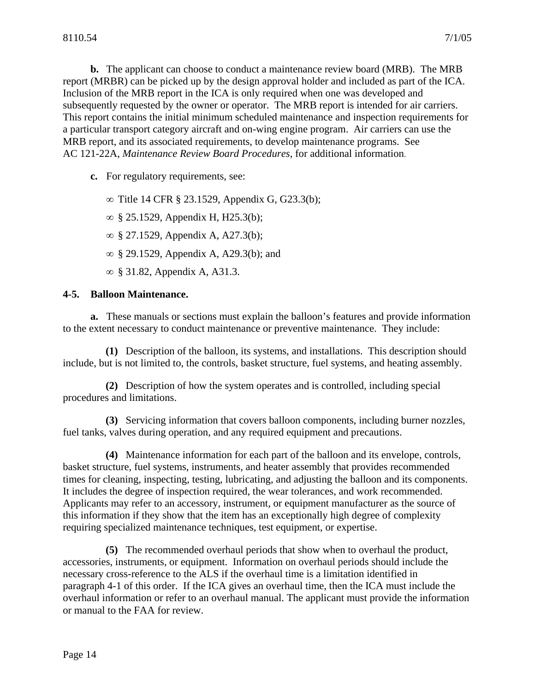<span id="page-19-0"></span>**b.** The applicant can choose to conduct a maintenance review board (MRB). The MRB report (MRBR) can be picked up by the design approval holder and included as part of the ICA. Inclusion of the MRB report in the ICA is only required when one was developed and subsequently requested by the owner or operator. The MRB report is intended for air carriers. This report contains the initial minimum scheduled maintenance and inspection requirements for a particular transport category aircraft and on-wing engine program. Air carriers can use the MRB report, and its associated requirements, to develop maintenance programs. See AC 121-22A, *Maintenance Review Board Procedures*, for additional information.

**c.** For regulatory requirements, see:

∞ Title 14 CFR § 23.1529, Appendix G, G23.3(b);

∞ § 25.1529, Appendix H, H25.3(b);

∞ § 27.1529, Appendix A, A27.3(b);

∞ § 29.1529, Appendix A, A29.3(b); and

∞ § 31.82, Appendix A, A31.3.

#### **4-5. Balloon Maintenance.**

**a.** These manuals or sections must explain the balloon's features and provide information to the extent necessary to conduct maintenance or preventive maintenance. They include:

**(1)** Description of the balloon, its systems, and installations. This description should include, but is not limited to, the controls, basket structure, fuel systems, and heating assembly.

**(2)** Description of how the system operates and is controlled, including special procedures and limitations.

**(3)** Servicing information that covers balloon components, including burner nozzles, fuel tanks, valves during operation, and any required equipment and precautions.

**(4)** Maintenance information for each part of the balloon and its envelope, controls, basket structure, fuel systems, instruments, and heater assembly that provides recommended times for cleaning, inspecting, testing, lubricating, and adjusting the balloon and its components. It includes the degree of inspection required, the wear tolerances, and work recommended. Applicants may refer to an accessory, instrument, or equipment manufacturer as the source of this information if they show that the item has an exceptionally high degree of complexity requiring specialized maintenance techniques, test equipment, or expertise.

**(5)** The recommended overhaul periods that show when to overhaul the product, accessories, instruments, or equipment. Information on overhaul periods should include the necessary cross-reference to the ALS if the overhaul time is a limitation identified in paragraph 4-1 of this order. If the ICA gives an overhaul time, then the ICA must include the overhaul information or refer to an overhaul manual. The applicant must provide the information or manual to the FAA for review.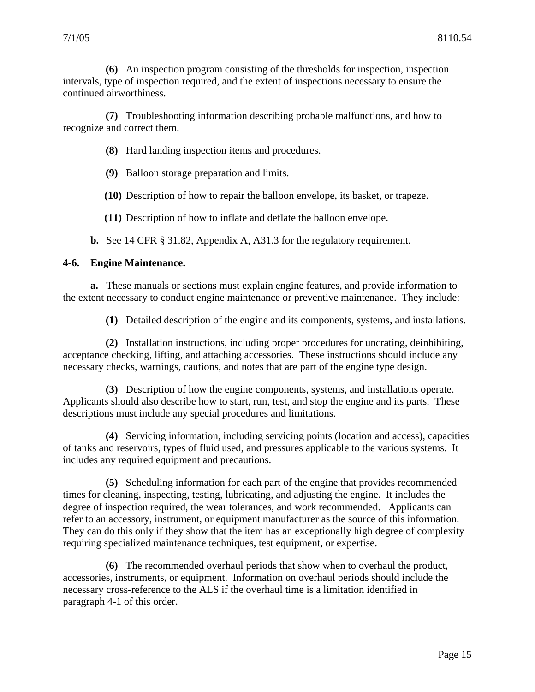<span id="page-20-0"></span>**(6)** An inspection program consisting of the thresholds for inspection, inspection intervals, type of inspection required, and the extent of inspections necessary to ensure the continued airworthiness.

**(7)** Troubleshooting information describing probable malfunctions, and how to recognize and correct them.

**(8)** Hard landing inspection items and procedures.

**(9)** Balloon storage preparation and limits.

**(10)** Description of how to repair the balloon envelope, its basket, or trapeze.

**(11)** Description of how to inflate and deflate the balloon envelope.

**b.** See 14 CFR § 31.82, Appendix A, A31.3 for the regulatory requirement.

#### **4-6. Engine Maintenance.**

**a.** These manuals or sections must explain engine features, and provide information to the extent necessary to conduct engine maintenance or preventive maintenance. They include:

**(1)** Detailed description of the engine and its components, systems, and installations.

**(2)** Installation instructions, including proper procedures for uncrating, deinhibiting, acceptance checking, lifting, and attaching accessories. These instructions should include any necessary checks, warnings, cautions, and notes that are part of the engine type design.

**(3)** Description of how the engine components, systems, and installations operate. Applicants should also describe how to start, run, test, and stop the engine and its parts. These descriptions must include any special procedures and limitations.

**(4)** Servicing information, including servicing points (location and access), capacities of tanks and reservoirs, types of fluid used, and pressures applicable to the various systems. It includes any required equipment and precautions.

**(5)** Scheduling information for each part of the engine that provides recommended times for cleaning, inspecting, testing, lubricating, and adjusting the engine. It includes the degree of inspection required, the wear tolerances, and work recommended. Applicants can refer to an accessory, instrument, or equipment manufacturer as the source of this information. They can do this only if they show that the item has an exceptionally high degree of complexity requiring specialized maintenance techniques, test equipment, or expertise.

**(6)** The recommended overhaul periods that show when to overhaul the product, accessories, instruments, or equipment. Information on overhaul periods should include the necessary cross-reference to the ALS if the overhaul time is a limitation identified in paragraph 4-1 of this order.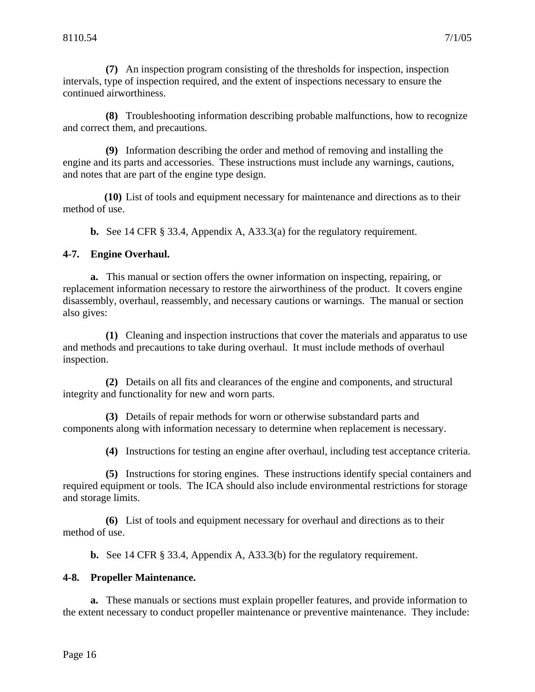<span id="page-21-0"></span>**(7)** An inspection program consisting of the thresholds for inspection, inspection intervals, type of inspection required, and the extent of inspections necessary to ensure the continued airworthiness.

**(8)** Troubleshooting information describing probable malfunctions, how to recognize and correct them, and precautions.

**(9)** Information describing the order and method of removing and installing the engine and its parts and accessories. These instructions must include any warnings, cautions, and notes that are part of the engine type design.

**(10)** List of tools and equipment necessary for maintenance and directions as to their method of use.

**b.** See 14 CFR § 33.4, Appendix A, A33.3(a) for the regulatory requirement.

#### **4-7. Engine Overhaul.**

**a.** This manual or section offers the owner information on inspecting, repairing, or replacement information necessary to restore the airworthiness of the product. It covers engine disassembly, overhaul, reassembly, and necessary cautions or warnings. The manual or section also gives:

**(1)** Cleaning and inspection instructions that cover the materials and apparatus to use and methods and precautions to take during overhaul. It must include methods of overhaul inspection.

**(2)** Details on all fits and clearances of the engine and components, and structural integrity and functionality for new and worn parts.

**(3)** Details of repair methods for worn or otherwise substandard parts and components along with information necessary to determine when replacement is necessary.

**(4)** Instructions for testing an engine after overhaul, including test acceptance criteria.

**(5)** Instructions for storing engines. These instructions identify special containers and required equipment or tools. The ICA should also include environmental restrictions for storage and storage limits.

**(6)** List of tools and equipment necessary for overhaul and directions as to their method of use.

**b.** See 14 CFR § 33.4, Appendix A, A33.3(b) for the regulatory requirement.

#### **4-8. Propeller Maintenance.**

**a.** These manuals or sections must explain propeller features, and provide information to the extent necessary to conduct propeller maintenance or preventive maintenance. They include: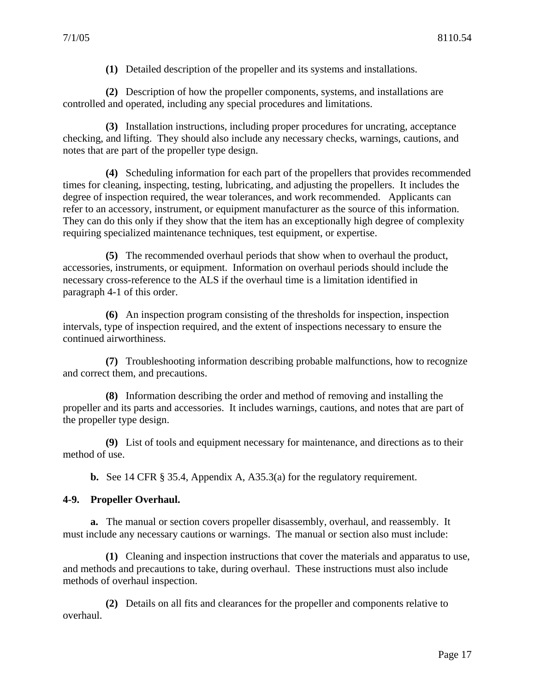**(1)** Detailed description of the propeller and its systems and installations.

<span id="page-22-0"></span>**(2)** Description of how the propeller components, systems, and installations are controlled and operated, including any special procedures and limitations.

**(3)** Installation instructions, including proper procedures for uncrating, acceptance checking, and lifting. They should also include any necessary checks, warnings, cautions, and notes that are part of the propeller type design.

**(4)** Scheduling information for each part of the propellers that provides recommended times for cleaning, inspecting, testing, lubricating, and adjusting the propellers. It includes the degree of inspection required, the wear tolerances, and work recommended. Applicants can refer to an accessory, instrument, or equipment manufacturer as the source of this information. They can do this only if they show that the item has an exceptionally high degree of complexity requiring specialized maintenance techniques, test equipment, or expertise.

**(5)** The recommended overhaul periods that show when to overhaul the product, accessories, instruments, or equipment. Information on overhaul periods should include the necessary cross-reference to the ALS if the overhaul time is a limitation identified in paragraph 4-1 of this order.

**(6)** An inspection program consisting of the thresholds for inspection, inspection intervals, type of inspection required, and the extent of inspections necessary to ensure the continued airworthiness.

**(7)** Troubleshooting information describing probable malfunctions, how to recognize and correct them, and precautions.

**(8)** Information describing the order and method of removing and installing the propeller and its parts and accessories. It includes warnings, cautions, and notes that are part of the propeller type design.

**(9)** List of tools and equipment necessary for maintenance, and directions as to their method of use.

**b.** See 14 CFR § 35.4, Appendix A, A35.3(a) for the regulatory requirement.

#### **4-9. Propeller Overhaul.**

**a.** The manual or section covers propeller disassembly, overhaul, and reassembly. It must include any necessary cautions or warnings. The manual or section also must include:

**(1)** Cleaning and inspection instructions that cover the materials and apparatus to use, and methods and precautions to take, during overhaul. These instructions must also include methods of overhaul inspection.

**(2)** Details on all fits and clearances for the propeller and components relative to overhaul.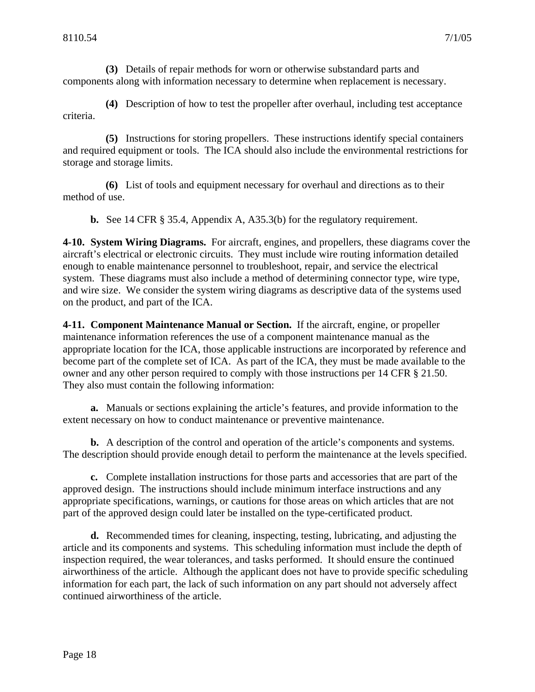<span id="page-23-0"></span>**(3)** Details of repair methods for worn or otherwise substandard parts and components along with information necessary to determine when replacement is necessary.

**(4)** Description of how to test the propeller after overhaul, including test acceptance criteria.

**(5)** Instructions for storing propellers. These instructions identify special containers and required equipment or tools. The ICA should also include the environmental restrictions for storage and storage limits.

**(6)** List of tools and equipment necessary for overhaul and directions as to their method of use.

**b.** See 14 CFR § 35.4, Appendix A, A35.3(b) for the regulatory requirement.

**4-10. System Wiring Diagrams.** For aircraft, engines, and propellers, these diagrams cover the aircraft's electrical or electronic circuits. They must include wire routing information detailed enough to enable maintenance personnel to troubleshoot, repair, and service the electrical system. These diagrams must also include a method of determining connector type, wire type, and wire size. We consider the system wiring diagrams as descriptive data of the systems used on the product, and part of the ICA.

**4-11. Component Maintenance Manual or Section.** If the aircraft, engine, or propeller maintenance information references the use of a component maintenance manual as the appropriate location for the ICA, those applicable instructions are incorporated by reference and become part of the complete set of ICA. As part of the ICA, they must be made available to the owner and any other person required to comply with those instructions per 14 CFR § 21.50. They also must contain the following information:

**a.** Manuals or sections explaining the article's features, and provide information to the extent necessary on how to conduct maintenance or preventive maintenance.

**b.** A description of the control and operation of the article's components and systems. The description should provide enough detail to perform the maintenance at the levels specified.

**c.** Complete installation instructions for those parts and accessories that are part of the approved design. The instructions should include minimum interface instructions and any appropriate specifications, warnings, or cautions for those areas on which articles that are not part of the approved design could later be installed on the type-certificated product.

**d.** Recommended times for cleaning, inspecting, testing, lubricating, and adjusting the article and its components and systems. This scheduling information must include the depth of inspection required, the wear tolerances, and tasks performed. It should ensure the continued airworthiness of the article. Although the applicant does not have to provide specific scheduling information for each part, the lack of such information on any part should not adversely affect continued airworthiness of the article.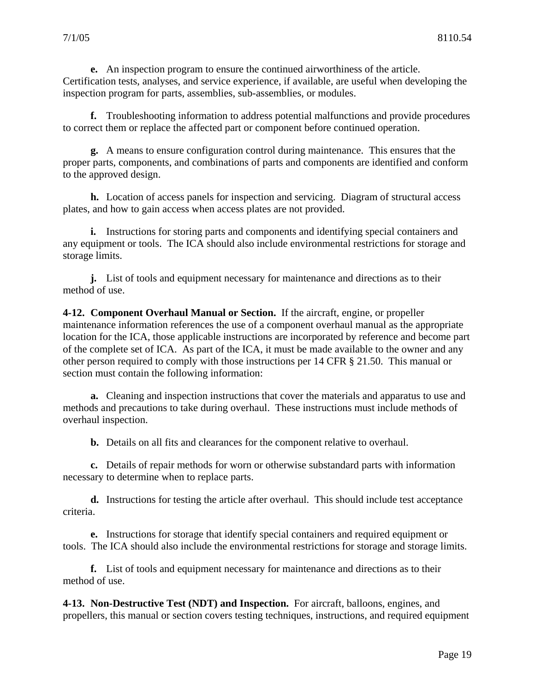<span id="page-24-0"></span>**e.** An inspection program to ensure the continued airworthiness of the article. Certification tests, analyses, and service experience, if available, are useful when developing the inspection program for parts, assemblies, sub-assemblies, or modules.

**f.** Troubleshooting information to address potential malfunctions and provide procedures to correct them or replace the affected part or component before continued operation.

**g.** A means to ensure configuration control during maintenance. This ensures that the proper parts, components, and combinations of parts and components are identified and conform to the approved design.

**h.** Location of access panels for inspection and servicing. Diagram of structural access plates, and how to gain access when access plates are not provided.

**i.** Instructions for storing parts and components and identifying special containers and any equipment or tools. The ICA should also include environmental restrictions for storage and storage limits.

**j.** List of tools and equipment necessary for maintenance and directions as to their method of use.

**4-12. Component Overhaul Manual or Section.** If the aircraft, engine, or propeller maintenance information references the use of a component overhaul manual as the appropriate location for the ICA, those applicable instructions are incorporated by reference and become part of the complete set of ICA. As part of the ICA, it must be made available to the owner and any other person required to comply with those instructions per 14 CFR § 21.50. This manual or section must contain the following information:

**a.** Cleaning and inspection instructions that cover the materials and apparatus to use and methods and precautions to take during overhaul. These instructions must include methods of overhaul inspection.

**b.** Details on all fits and clearances for the component relative to overhaul.

**c.** Details of repair methods for worn or otherwise substandard parts with information necessary to determine when to replace parts.

**d.** Instructions for testing the article after overhaul. This should include test acceptance criteria.

**e.** Instructions for storage that identify special containers and required equipment or tools. The ICA should also include the environmental restrictions for storage and storage limits.

**f.** List of tools and equipment necessary for maintenance and directions as to their method of use.

**4-13. Non-Destructive Test (NDT) and Inspection.** For aircraft, balloons, engines, and propellers, this manual or section covers testing techniques, instructions, and required equipment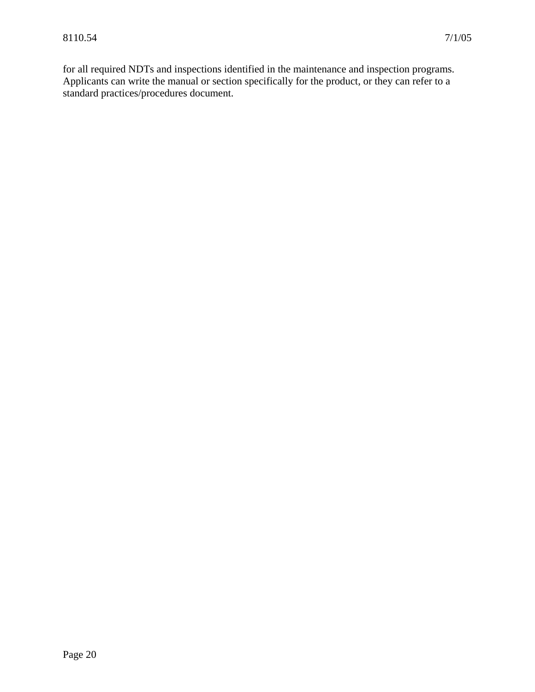<span id="page-25-0"></span>for all required NDTs and inspections identified in the maintenance and inspection programs. Applicants can write the manual or section specifically for the product, or they can refer to a standard practices/procedures document.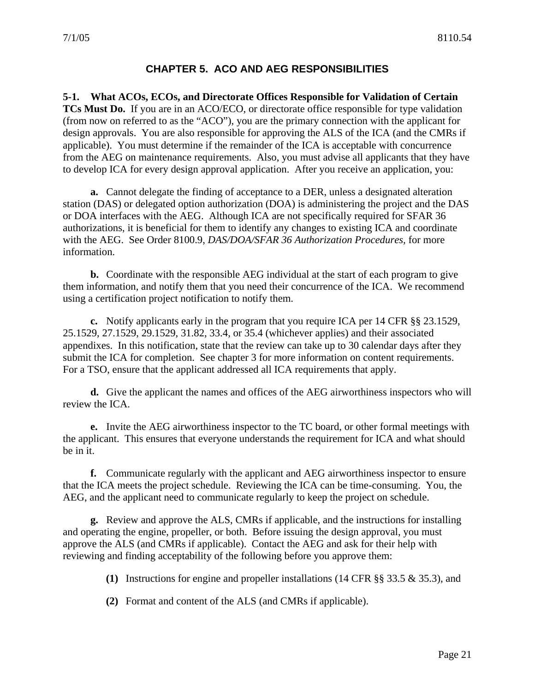#### **CHAPTER 5. ACO AND AEG RESPONSIBILITIES**

<span id="page-26-0"></span>**5-1. What ACOs, ECOs, and Directorate Offices Responsible for Validation of Certain TCs Must Do.** If you are in an ACO/ECO, or directorate office responsible for type validation (from now on referred to as the "ACO"), you are the primary connection with the applicant for design approvals. You are also responsible for approving the ALS of the ICA (and the CMRs if applicable). You must determine if the remainder of the ICA is acceptable with concurrence from the AEG on maintenance requirements. Also, you must advise all applicants that they have to develop ICA for every design approval application. After you receive an application, you:

**a.** Cannot delegate the finding of acceptance to a DER, unless a designated alteration station (DAS) or delegated option authorization (DOA) is administering the project and the DAS or DOA interfaces with the AEG. Although ICA are not specifically required for SFAR 36 authorizations, it is beneficial for them to identify any changes to existing ICA and coordinate with the AEG. See Order 8100.9, *DAS/DOA/SFAR 36 Authorization Procedures,* for more information.

**b.** Coordinate with the responsible AEG individual at the start of each program to give them information, and notify them that you need their concurrence of the ICA. We recommend using a certification project notification to notify them.

**c.** Notify applicants early in the program that you require ICA per 14 CFR §§ 23.1529, 25.1529, 27.1529, 29.1529, 31.82, 33.4, or 35.4 (whichever applies) and their associated appendixes. In this notification, state that the review can take up to 30 calendar days after they submit the ICA for completion. See chapter 3 for more information on content requirements. For a TSO, ensure that the applicant addressed all ICA requirements that apply.

**d.** Give the applicant the names and offices of the AEG airworthiness inspectors who will review the ICA.

**e.** Invite the AEG airworthiness inspector to the TC board, or other formal meetings with the applicant. This ensures that everyone understands the requirement for ICA and what should be in it.

**f.** Communicate regularly with the applicant and AEG airworthiness inspector to ensure that the ICA meets the project schedule. Reviewing the ICA can be time-consuming. You, the AEG, and the applicant need to communicate regularly to keep the project on schedule.

**g.** Review and approve the ALS, CMRs if applicable, and the instructions for installing and operating the engine, propeller, or both. Before issuing the design approval, you must approve the ALS (and CMRs if applicable). Contact the AEG and ask for their help with reviewing and finding acceptability of the following before you approve them:

- **(1)** Instructions for engine and propeller installations (14 CFR §§ 33.5 & 35.3), and
- **(2)** Format and content of the ALS (and CMRs if applicable).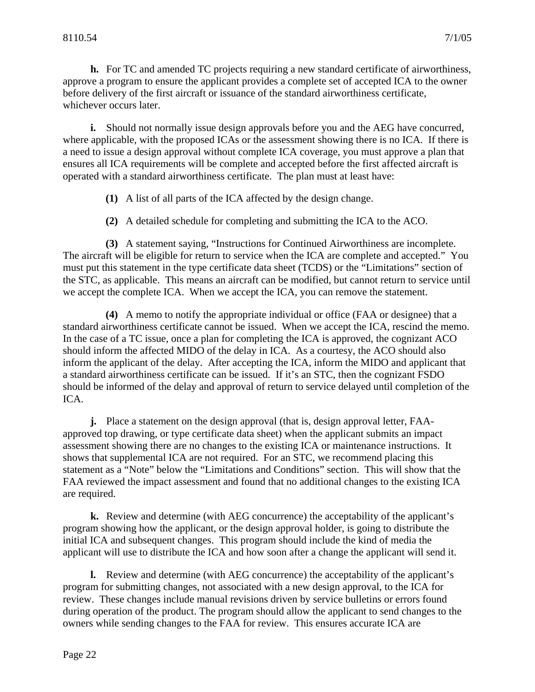**h.** For TC and amended TC projects requiring a new standard certificate of airworthiness, approve a program to ensure the applicant provides a complete set of accepted ICA to the owner before delivery of the first aircraft or issuance of the standard airworthiness certificate, whichever occurs later.

**i.** Should not normally issue design approvals before you and the AEG have concurred, where applicable, with the proposed ICAs or the assessment showing there is no ICA. If there is a need to issue a design approval without complete ICA coverage, you must approve a plan that ensures all ICA requirements will be complete and accepted before the first affected aircraft is operated with a standard airworthiness certificate. The plan must at least have:

- **(1)** A list of all parts of the ICA affected by the design change.
- **(2)** A detailed schedule for completing and submitting the ICA to the ACO.

**(3)** A statement saying, "Instructions for Continued Airworthiness are incomplete. The aircraft will be eligible for return to service when the ICA are complete and accepted." You must put this statement in the type certificate data sheet (TCDS) or the "Limitations" section of the STC, as applicable. This means an aircraft can be modified, but cannot return to service until we accept the complete ICA. When we accept the ICA, you can remove the statement.

**(4)** A memo to notify the appropriate individual or office (FAA or designee) that a standard airworthiness certificate cannot be issued. When we accept the ICA, rescind the memo. In the case of a TC issue, once a plan for completing the ICA is approved, the cognizant ACO should inform the affected MIDO of the delay in ICA. As a courtesy, the ACO should also inform the applicant of the delay. After accepting the ICA, inform the MIDO and applicant that a standard airworthiness certificate can be issued. If it's an STC, then the cognizant FSDO should be informed of the delay and approval of return to service delayed until completion of the ICA.

**j.** Place a statement on the design approval (that is, design approval letter, FAAapproved top drawing, or type certificate data sheet) when the applicant submits an impact assessment showing there are no changes to the existing ICA or maintenance instructions. It shows that supplemental ICA are not required. For an STC, we recommend placing this statement as a "Note" below the "Limitations and Conditions" section. This will show that the FAA reviewed the impact assessment and found that no additional changes to the existing ICA are required.

**k.** Review and determine (with AEG concurrence) the acceptability of the applicant's program showing how the applicant, or the design approval holder, is going to distribute the initial ICA and subsequent changes. This program should include the kind of media the applicant will use to distribute the ICA and how soon after a change the applicant will send it.

**l.** Review and determine (with AEG concurrence) the acceptability of the applicant's program for submitting changes, not associated with a new design approval, to the ICA for review. These changes include manual revisions driven by service bulletins or errors found during operation of the product. The program should allow the applicant to send changes to the owners while sending changes to the FAA for review. This ensures accurate ICA are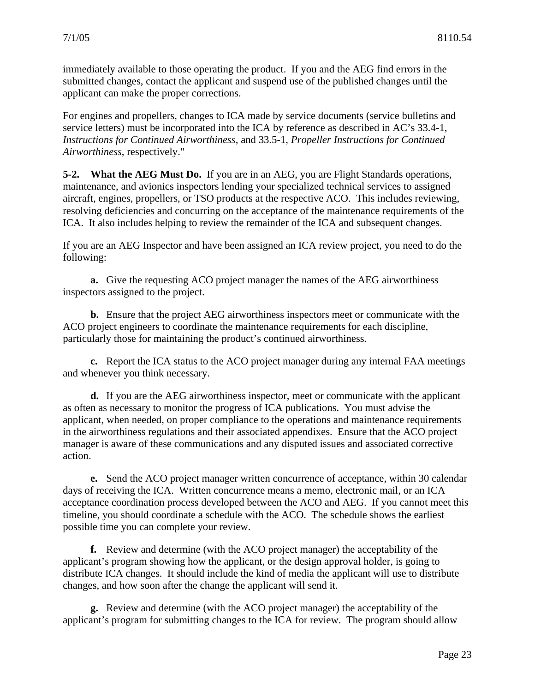<span id="page-28-0"></span>immediately available to those operating the product. If you and the AEG find errors in the submitted changes, contact the applicant and suspend use of the published changes until the applicant can make the proper corrections.

For engines and propellers, changes to ICA made by service documents (service bulletins and service letters) must be incorporated into the ICA by reference as described in AC's 33.4-1, *Instructions for Continued Airworthiness,* and 33.5-1, *Propeller Instructions for Continued Airworthiness*, respectively."

**5-2. What the AEG Must Do.** If you are in an AEG, you are Flight Standards operations, maintenance, and avionics inspectors lending your specialized technical services to assigned aircraft, engines, propellers, or TSO products at the respective ACO. This includes reviewing, resolving deficiencies and concurring on the acceptance of the maintenance requirements of the ICA. It also includes helping to review the remainder of the ICA and subsequent changes.

If you are an AEG Inspector and have been assigned an ICA review project, you need to do the following:

**a.** Give the requesting ACO project manager the names of the AEG airworthiness inspectors assigned to the project.

**b.** Ensure that the project AEG airworthiness inspectors meet or communicate with the ACO project engineers to coordinate the maintenance requirements for each discipline, particularly those for maintaining the product's continued airworthiness.

**c.** Report the ICA status to the ACO project manager during any internal FAA meetings and whenever you think necessary.

**d.** If you are the AEG airworthiness inspector, meet or communicate with the applicant as often as necessary to monitor the progress of ICA publications. You must advise the applicant, when needed, on proper compliance to the operations and maintenance requirements in the airworthiness regulations and their associated appendixes. Ensure that the ACO project manager is aware of these communications and any disputed issues and associated corrective action.

**e.** Send the ACO project manager written concurrence of acceptance, within 30 calendar days of receiving the ICA. Written concurrence means a memo, electronic mail, or an ICA acceptance coordination process developed between the ACO and AEG. If you cannot meet this timeline, you should coordinate a schedule with the ACO. The schedule shows the earliest possible time you can complete your review.

**f.** Review and determine (with the ACO project manager) the acceptability of the applicant's program showing how the applicant, or the design approval holder, is going to distribute ICA changes. It should include the kind of media the applicant will use to distribute changes, and how soon after the change the applicant will send it.

**g.** Review and determine (with the ACO project manager) the acceptability of the applicant's program for submitting changes to the ICA for review. The program should allow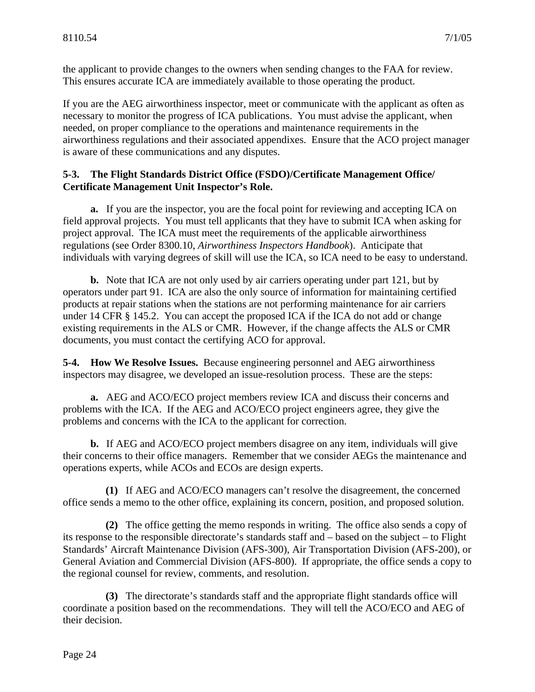<span id="page-29-0"></span>the applicant to provide changes to the owners when sending changes to the FAA for review. This ensures accurate ICA are immediately available to those operating the product.

If you are the AEG airworthiness inspector, meet or communicate with the applicant as often as necessary to monitor the progress of ICA publications. You must advise the applicant, when needed, on proper compliance to the operations and maintenance requirements in the airworthiness regulations and their associated appendixes. Ensure that the ACO project manager is aware of these communications and any disputes.

#### **5-3. The Flight Standards District Office (FSDO)/Certificate Management Office/ Certificate Management Unit Inspector's Role.**

**a.** If you are the inspector, you are the focal point for reviewing and accepting ICA on field approval projects. You must tell applicants that they have to submit ICA when asking for project approval. The ICA must meet the requirements of the applicable airworthiness regulations (see Order 8300.10, *Airworthiness Inspectors Handbook*). Anticipate that individuals with varying degrees of skill will use the ICA, so ICA need to be easy to understand.

**b.** Note that ICA are not only used by air carriers operating under part 121, but by operators under part 91. ICA are also the only source of information for maintaining certified products at repair stations when the stations are not performing maintenance for air carriers under 14 CFR § 145.2. You can accept the proposed ICA if the ICA do not add or change existing requirements in the ALS or CMR. However, if the change affects the ALS or CMR documents, you must contact the certifying ACO for approval.

**5-4. How We Resolve Issues.** Because engineering personnel and AEG airworthiness inspectors may disagree, we developed an issue-resolution process. These are the steps:

**a.** AEG and ACO/ECO project members review ICA and discuss their concerns and problems with the ICA. If the AEG and ACO/ECO project engineers agree, they give the problems and concerns with the ICA to the applicant for correction.

**b.** If AEG and ACO/ECO project members disagree on any item, individuals will give their concerns to their office managers. Remember that we consider AEGs the maintenance and operations experts, while ACOs and ECOs are design experts.

**(1)** If AEG and ACO/ECO managers can't resolve the disagreement, the concerned office sends a memo to the other office, explaining its concern, position, and proposed solution.

**(2)** The office getting the memo responds in writing. The office also sends a copy of its response to the responsible directorate's standards staff and – based on the subject – to Flight Standards' Aircraft Maintenance Division (AFS-300), Air Transportation Division (AFS-200), or General Aviation and Commercial Division (AFS-800). If appropriate, the office sends a copy to the regional counsel for review, comments, and resolution.

**(3)** The directorate's standards staff and the appropriate flight standards office will coordinate a position based on the recommendations. They will tell the ACO/ECO and AEG of their decision.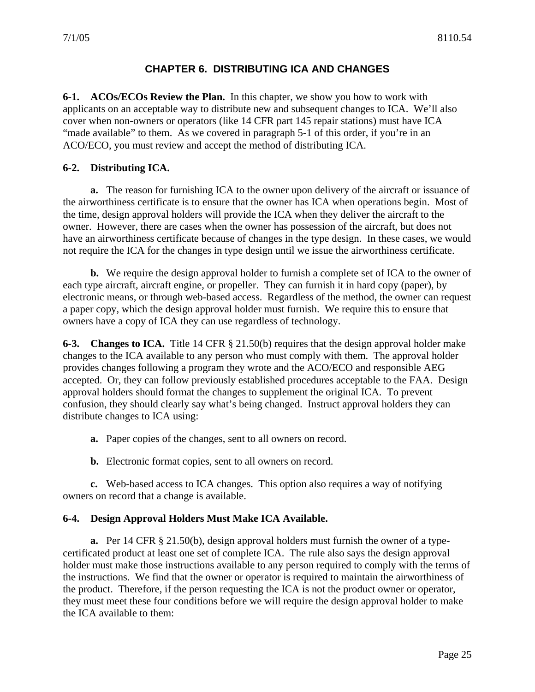#### **CHAPTER 6. DISTRIBUTING ICA AND CHANGES**

**6-1. ACOs/ECOs Review the Plan.** In this chapter, we show you how to work with applicants on an acceptable way to distribute new and subsequent changes to ICA. We'll also cover when non-owners or operators (like 14 CFR part 145 repair stations) must have ICA "made available" to them. As we covered in paragraph 5-1 of this order, if you're in an ACO/ECO, you must review and accept the method of distributing ICA.

#### **6-2. Distributing ICA.**

**a.** The reason for furnishing ICA to the owner upon delivery of the aircraft or issuance of the airworthiness certificate is to ensure that the owner has ICA when operations begin. Most of the time, design approval holders will provide the ICA when they deliver the aircraft to the owner. However, there are cases when the owner has possession of the aircraft, but does not have an airworthiness certificate because of changes in the type design. In these cases, we would not require the ICA for the changes in type design until we issue the airworthiness certificate.

**b.** We require the design approval holder to furnish a complete set of ICA to the owner of each type aircraft, aircraft engine, or propeller. They can furnish it in hard copy (paper), by electronic means, or through web-based access. Regardless of the method, the owner can request a paper copy, which the design approval holder must furnish. We require this to ensure that owners have a copy of ICA they can use regardless of technology.

**6-3. Changes to ICA.** Title 14 CFR § 21.50(b) requires that the design approval holder make changes to the ICA available to any person who must comply with them. The approval holder provides changes following a program they wrote and the ACO/ECO and responsible AEG accepted. Or, they can follow previously established procedures acceptable to the FAA. Design approval holders should format the changes to supplement the original ICA. To prevent confusion, they should clearly say what's being changed. Instruct approval holders they can distribute changes to ICA using:

**a.** Paper copies of the changes, sent to all owners on record.

**b.** Electronic format copies, sent to all owners on record.

**c.** Web-based access to ICA changes. This option also requires a way of notifying owners on record that a change is available.

#### **6-4. Design Approval Holders Must Make ICA Available.**

**a.** Per 14 CFR § 21.50(b), design approval holders must furnish the owner of a typecertificated product at least one set of complete ICA. The rule also says the design approval holder must make those instructions available to any person required to comply with the terms of the instructions. We find that the owner or operator is required to maintain the airworthiness of the product. Therefore, if the person requesting the ICA is not the product owner or operator, they must meet these four conditions before we will require the design approval holder to make the ICA available to them: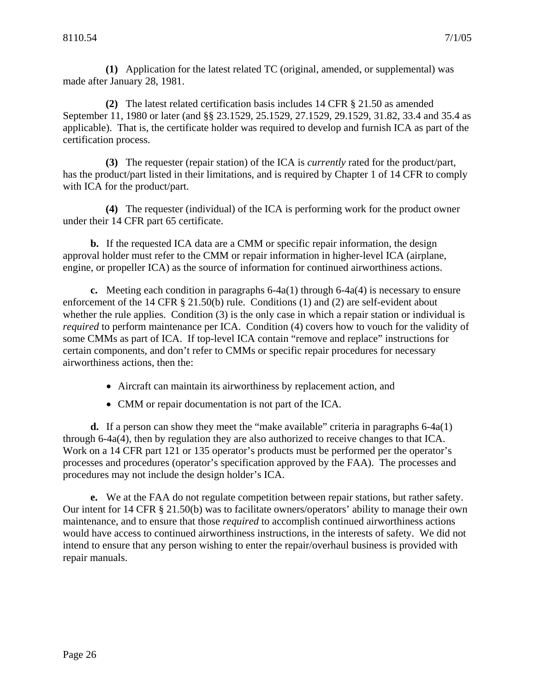**(1)** Application for the latest related TC (original, amended, or supplemental) was made after January 28, 1981.

**(2)** The latest related certification basis includes 14 CFR § 21.50 as amended September 11, 1980 or later (and §§ 23.1529, 25.1529, 27.1529, 29.1529, 31.82, 33.4 and 35.4 as applicable). That is, the certificate holder was required to develop and furnish ICA as part of the certification process.

**(3)** The requester (repair station) of the ICA is *currently* rated for the product/part, has the product/part listed in their limitations, and is required by Chapter 1 of 14 CFR to comply with ICA for the product/part.

**(4)** The requester (individual) of the ICA is performing work for the product owner under their 14 CFR part 65 certificate.

**b.** If the requested ICA data are a CMM or specific repair information, the design approval holder must refer to the CMM or repair information in higher-level ICA (airplane, engine, or propeller ICA) as the source of information for continued airworthiness actions.

**c.** Meeting each condition in paragraphs 6-4a(1) through 6-4a(4) is necessary to ensure enforcement of the 14 CFR § 21.50(b) rule. Conditions (1) and (2) are self-evident about whether the rule applies. Condition (3) is the only case in which a repair station or individual is *required* to perform maintenance per ICA. Condition (4) covers how to vouch for the validity of some CMMs as part of ICA. If top-level ICA contain "remove and replace" instructions for certain components, and don't refer to CMMs or specific repair procedures for necessary airworthiness actions, then the:

- Aircraft can maintain its airworthiness by replacement action, and
- CMM or repair documentation is not part of the ICA.

**d.** If a person can show they meet the "make available" criteria in paragraphs 6-4a(1) through 6-4a(4), then by regulation they are also authorized to receive changes to that ICA. Work on a 14 CFR part 121 or 135 operator's products must be performed per the operator's processes and procedures (operator's specification approved by the FAA). The processes and procedures may not include the design holder's ICA.

**e.** We at the FAA do not regulate competition between repair stations, but rather safety. Our intent for 14 CFR § 21.50(b) was to facilitate owners/operators' ability to manage their own maintenance, and to ensure that those *required* to accomplish continued airworthiness actions would have access to continued airworthiness instructions, in the interests of safety. We did not intend to ensure that any person wishing to enter the repair/overhaul business is provided with repair manuals.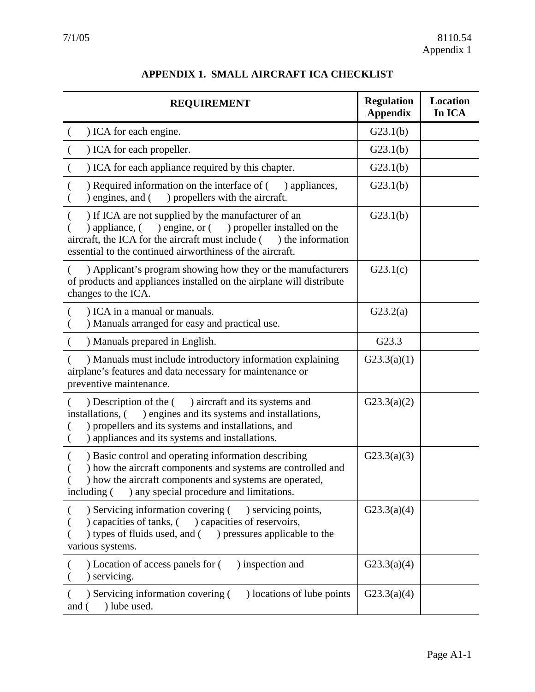<span id="page-32-0"></span>

| <b>REQUIREMENT</b>                                                                                                                                                                                                                                            | <b>Regulation</b><br><b>Appendix</b> | Location<br>In ICA |
|---------------------------------------------------------------------------------------------------------------------------------------------------------------------------------------------------------------------------------------------------------------|--------------------------------------|--------------------|
| ) ICA for each engine.                                                                                                                                                                                                                                        | G23.1(b)                             |                    |
| ) ICA for each propeller.                                                                                                                                                                                                                                     | G23.1(b)                             |                    |
| ) ICA for each appliance required by this chapter.                                                                                                                                                                                                            | G23.1(b)                             |                    |
| ) Required information on the interface of (<br>) appliances,<br>engines, and (<br>) propellers with the aircraft.                                                                                                                                            | G23.1(b)                             |                    |
| ) If ICA are not supplied by the manufacturer of an<br>) engine, or ( ) propeller installed on the<br>) appliance, $($<br>aircraft, the ICA for the aircraft must include (<br>) the information<br>essential to the continued airworthiness of the aircraft. | G23.1(b)                             |                    |
| ) Applicant's program showing how they or the manufacturers<br>of products and appliances installed on the airplane will distribute<br>changes to the ICA.                                                                                                    | G23.1(c)                             |                    |
| ) ICA in a manual or manuals.<br>) Manuals arranged for easy and practical use.                                                                                                                                                                               | G23.2(a)                             |                    |
| ) Manuals prepared in English.                                                                                                                                                                                                                                | G23.3                                |                    |
| ) Manuals must include introductory information explaining<br>airplane's features and data necessary for maintenance or<br>preventive maintenance.                                                                                                            | G23.3(a)(1)                          |                    |
| ) aircraft and its systems and<br>) Description of the (<br>) engines and its systems and installations,<br>installations, (<br>) propellers and its systems and installations, and<br>) appliances and its systems and installations.                        | G23.3(a)(2)                          |                    |
| ) Basic control and operating information describing<br>) how the aircraft components and systems are controlled and<br>) how the aircraft components and systems are operated,<br>including () any special procedure and limitations.                        | G23.3(a)(3)                          |                    |
| ) Servicing information covering () servicing points,<br>) capacities of tanks, (<br>capacities of reservoirs,<br>) types of fluids used, and () pressures applicable to the<br>various systems.                                                              | G23.3(a)(4)                          |                    |
| ) Location of access panels for (<br>) inspection and<br>) servicing.                                                                                                                                                                                         | G23.3(a)(4)                          |                    |
| ) locations of lube points<br>) Servicing information covering (<br>) lube used.<br>and (                                                                                                                                                                     | G23.3(a)(4)                          |                    |

## **APPENDIX 1. SMALL AIRCRAFT ICA CHECKLIST**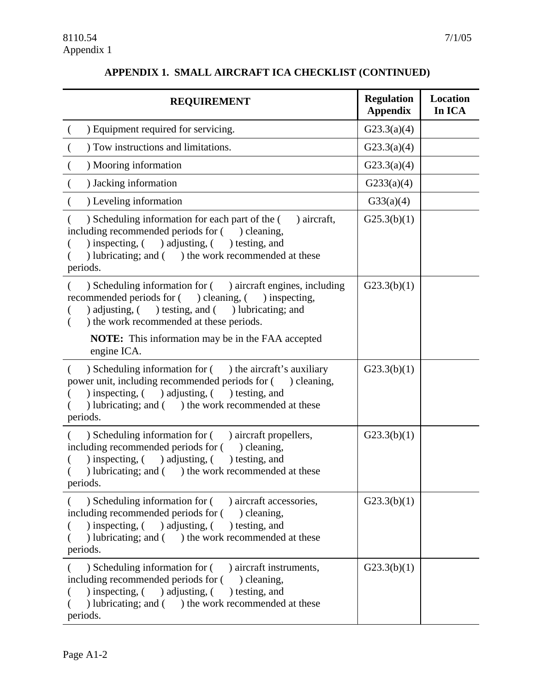#### **REQUIREMENT** Regulation **Appendix Location In ICA**  ( ) Equipment required for servicing.  $\qquad \qquad$  G23.3(a)(4)  $\vert$  Tow instructions and limitations.  $\vert$  G23.3(a)(4)  $\bigcup_{n=1}^{\infty} \text{Mooring information}$  (G23.3(a)(4)  $\int G233(a)(4)$ ( ) Leveling information  $GS3(a)(4)$ ( ) Scheduling information for each part of the ( ) aircraft, including recommended periods for  $($ ) cleaning, ( ) inspecting, ( ) adjusting, ( ) testing, and ( ) lubricating; and ( ) the work recommended at these periods.  $G25.3(b)(1)$ ( ) Scheduling information for ( ) aircraft engines, including recommended periods for ( ) cleaning, ( ) inspecting, ( ) adjusting, ( ) testing, and ( ) lubricating; and ( ) the work recommended at these periods. **NOTE:** This information may be in the FAA accepted engine ICA.  $G23.3(b)(1)$ ( ) Scheduling information for ( ) the aircraft's auxiliary power unit, including recommended periods for ( ) cleaning, ( ) inspecting, ( ) adjusting, ( ) testing, and ( ) lubricating; and ( ) the work recommended at these periods.  $G23.3(b)(1)$ ( ) Scheduling information for ( ) aircraft propellers, including recommended periods for  $($ ) cleaning, ( ) inspecting, ( ) adjusting, ( ) testing, and ( ) lubricating; and ( ) the work recommended at these periods.  $G23.3(b)(1)$ ( ) Scheduling information for ( ) aircraft accessories, including recommended periods for  $($ ) cleaning, ( ) inspecting, ( ) adjusting, ( ) testing, and  $($  ) lubricating; and  $($  ) the work recommended at these periods.  $G23.3(b)(1)$ ( ) Scheduling information for ( ) aircraft instruments, including recommended periods for  $($ ) cleaning, ( ) inspecting, ( ) adjusting, ( ) testing, and  $G23.3(b)(1)$

( ) lubricating; and ( ) the work recommended at these

#### **APPENDIX 1. SMALL AIRCRAFT ICA CHECKLIST (CONTINUED)**

periods.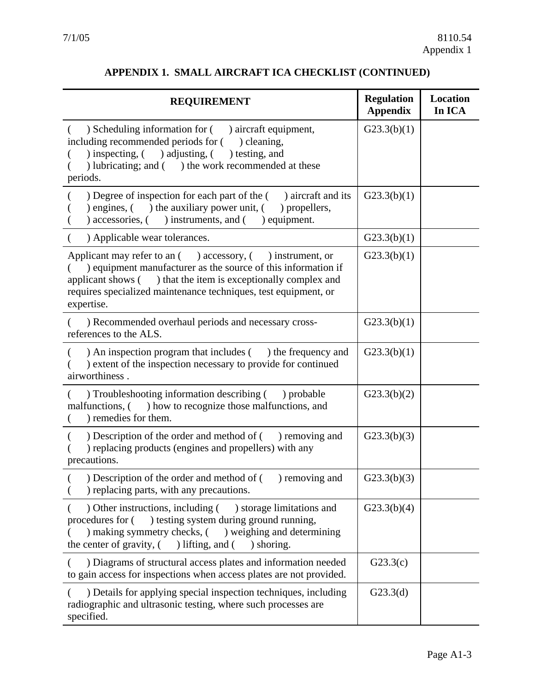#### **APPENDIX 1. SMALL AIRCRAFT ICA CHECKLIST (CONTINUED)**

| <b>REQUIREMENT</b>                                                                                                                                                                                                                                                               | <b>Regulation</b><br><b>Appendix</b> | <b>Location</b><br>In ICA |
|----------------------------------------------------------------------------------------------------------------------------------------------------------------------------------------------------------------------------------------------------------------------------------|--------------------------------------|---------------------------|
| ) Scheduling information for ( ) aircraft equipment,<br>including recommended periods for (<br>) cleaning,<br>) inspecting, ( ) adjusting, ( ) testing, and<br>) lubricating; and () the work recommended at these<br>periods.                                                   | G23.3(b)(1)                          |                           |
| ) Degree of inspection for each part of the $($ ) aircraft and its<br>) engines, $($ $)$ the auxiliary power unit, $($<br>) propellers,<br>) accessories, ( ) instruments, and (<br>) equipment.                                                                                 | G23.3(b)(1)                          |                           |
| ) Applicable wear tolerances.                                                                                                                                                                                                                                                    | G23.3(b)(1)                          |                           |
| Applicant may refer to an () accessory, (<br>) instrument, or<br>) equipment manufacturer as the source of this information if<br>applicant shows () that the item is exceptionally complex and<br>requires specialized maintenance techniques, test equipment, or<br>expertise. | G23.3(b)(1)                          |                           |
| ) Recommended overhaul periods and necessary cross-<br>references to the ALS.                                                                                                                                                                                                    | G23.3(b)(1)                          |                           |
| ) An inspection program that includes () the frequency and<br>) extent of the inspection necessary to provide for continued<br>airworthiness.                                                                                                                                    | G23.3(b)(1)                          |                           |
| ) Troubleshooting information describing () probable<br>malfunctions, () how to recognize those malfunctions, and<br>) remedies for them.                                                                                                                                        | G23.3(b)(2)                          |                           |
| ) Description of the order and method of ( ) removing and<br>) replacing products (engines and propellers) with any<br>precautions.                                                                                                                                              | G23.3(b)(3)                          |                           |
| ) Description of the order and method of (<br>) removing and<br>) replacing parts, with any precautions.                                                                                                                                                                         | G23.3(b)(3)                          |                           |
| Other instructions, including () storage limitations and<br>) testing system during ground running,<br>procedures for (<br>) making symmetry checks, () weighing and determining<br>the center of gravity, (<br>) lifting, and ( ) shoring.                                      | G23.3(b)(4)                          |                           |
| ) Diagrams of structural access plates and information needed<br>to gain access for inspections when access plates are not provided.                                                                                                                                             | G23.3(c)                             |                           |
| ) Details for applying special inspection techniques, including<br>radiographic and ultrasonic testing, where such processes are<br>specified.                                                                                                                                   | G23.3(d)                             |                           |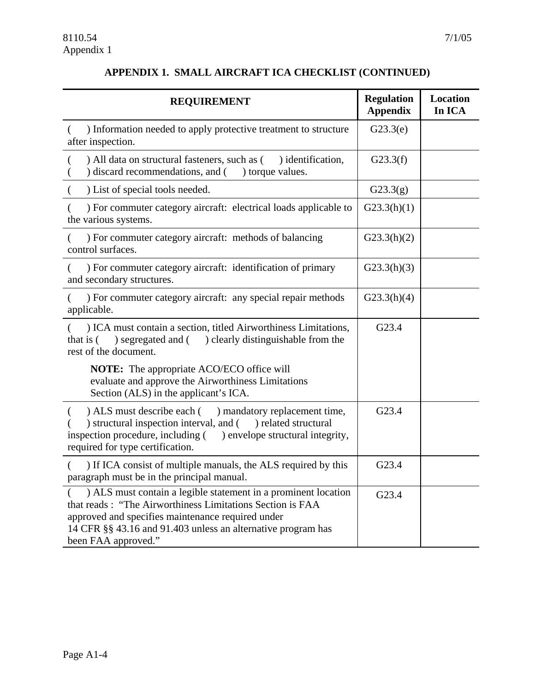## **APPENDIX 1. SMALL AIRCRAFT ICA CHECKLIST (CONTINUED)**

| <b>REQUIREMENT</b>                                                                                                                                                                                                                                                      | <b>Regulation</b><br><b>Appendix</b> | Location<br>In ICA |
|-------------------------------------------------------------------------------------------------------------------------------------------------------------------------------------------------------------------------------------------------------------------------|--------------------------------------|--------------------|
| ) Information needed to apply protective treatment to structure<br>$\left($<br>after inspection.                                                                                                                                                                        | G23.3(e)                             |                    |
| ) All data on structural fasteners, such as (<br>) identification,<br>) discard recommendations, and (<br>) torque values.                                                                                                                                              | G23.3(f)                             |                    |
| ) List of special tools needed.                                                                                                                                                                                                                                         | G23.3(g)                             |                    |
| ) For commuter category aircraft: electrical loads applicable to<br>the various systems.                                                                                                                                                                                | G23.3(h)(1)                          |                    |
| ) For commuter category aircraft: methods of balancing<br>control surfaces.                                                                                                                                                                                             | G23.3(h)(2)                          |                    |
| ) For commuter category aircraft: identification of primary<br>and secondary structures.                                                                                                                                                                                | G23.3(h)(3)                          |                    |
| ) For commuter category aircraft: any special repair methods<br>applicable.                                                                                                                                                                                             | G23.3(h)(4)                          |                    |
| ) ICA must contain a section, titled Airworthiness Limitations,<br>segregated and () clearly distinguishable from the<br>that is (<br>rest of the document.                                                                                                             | G23.4                                |                    |
| <b>NOTE:</b> The appropriate ACO/ECO office will<br>evaluate and approve the Airworthiness Limitations<br>Section (ALS) in the applicant's ICA.                                                                                                                         |                                      |                    |
| ) ALS must describe each () mandatory replacement time,<br>) structural inspection interval, and () related structural<br>inspection procedure, including (<br>) envelope structural integrity,<br>required for type certification.                                     | G23.4                                |                    |
| ) If ICA consist of multiple manuals, the ALS required by this<br>paragraph must be in the principal manual.                                                                                                                                                            | G23.4                                |                    |
| ) ALS must contain a legible statement in a prominent location<br>that reads: "The Airworthiness Limitations Section is FAA<br>approved and specifies maintenance required under<br>14 CFR §§ 43.16 and 91.403 unless an alternative program has<br>been FAA approved." | G23.4                                |                    |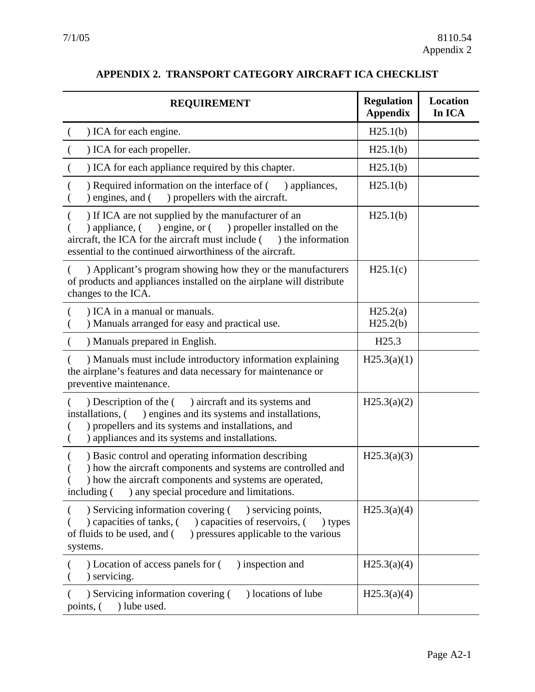| <b>REQUIREMENT</b>                                                                                                                                                                                                                                          | <b>Regulation</b><br><b>Appendix</b> | Location<br>In ICA |
|-------------------------------------------------------------------------------------------------------------------------------------------------------------------------------------------------------------------------------------------------------------|--------------------------------------|--------------------|
| ) ICA for each engine.                                                                                                                                                                                                                                      | H25.1(b)                             |                    |
| ) ICA for each propeller.                                                                                                                                                                                                                                   | H25.1(b)                             |                    |
| ) ICA for each appliance required by this chapter.                                                                                                                                                                                                          | H25.1(b)                             |                    |
| ) Required information on the interface of (<br>) appliances,<br>) engines, and $($ ) propellers with the aircraft.                                                                                                                                         | H25.1(b)                             |                    |
| ) If ICA are not supplied by the manufacturer of an<br>) engine, or ( ) propeller installed on the<br>) appliance, $($<br>aircraft, the ICA for the aircraft must include (<br>the information<br>essential to the continued airworthiness of the aircraft. | H25.1(b)                             |                    |
| ) Applicant's program showing how they or the manufacturers<br>of products and appliances installed on the airplane will distribute<br>changes to the ICA.                                                                                                  | H25.1(c)                             |                    |
| ) ICA in a manual or manuals.<br>) Manuals arranged for easy and practical use.                                                                                                                                                                             | H25.2(a)<br>H25.2(b)                 |                    |
| ) Manuals prepared in English.                                                                                                                                                                                                                              | H <sub>25.3</sub>                    |                    |
| ) Manuals must include introductory information explaining<br>the airplane's features and data necessary for maintenance or<br>preventive maintenance.                                                                                                      | H25.3(a)(1)                          |                    |
| (b) Description of the (c) aircraft and its systems and<br>) engines and its systems and installations,<br>installations, (<br>) propellers and its systems and installations, and<br>) appliances and its systems and installations.                       | H25.3(a)(2)                          |                    |
| ) Basic control and operating information describing<br>) how the aircraft components and systems are controlled and<br>) how the aircraft components and systems are operated,<br>) any special procedure and limitations.<br>including (                  | H25.3(a)(3)                          |                    |
| ) Servicing information covering (<br>) servicing points,<br>capacities of tanks, () capacities of reservoirs, (<br>) types<br>of fluids to be used, and (<br>) pressures applicable to the various<br>systems.                                             | H25.3(a)(4)                          |                    |
| ) Location of access panels for (<br>) inspection and<br>) servicing.                                                                                                                                                                                       | H25.3(a)(4)                          |                    |
| ) Servicing information covering (<br>) locations of lube<br>) lube used.<br>points, (                                                                                                                                                                      | H25.3(a)(4)                          |                    |

## **APPENDIX 2. TRANSPORT CATEGORY AIRCRAFT ICA CHECKLIST**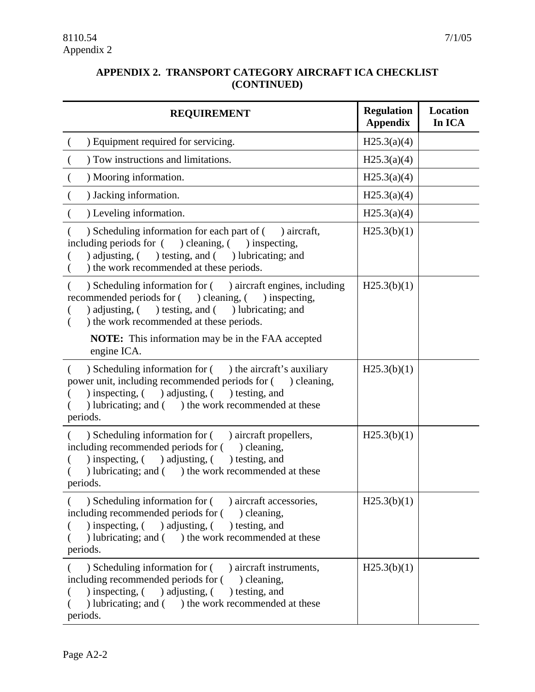|  |             | APPENDIX 2. TRANSPORT CATEGORY AIRCRAFT ICA CHECKLIST |  |
|--|-------------|-------------------------------------------------------|--|
|  | (CONTINUED) |                                                       |  |

| <b>REQUIREMENT</b>                                                                                                                                                                                                                               | <b>Regulation</b><br><b>Appendix</b> | Location<br>In ICA |
|--------------------------------------------------------------------------------------------------------------------------------------------------------------------------------------------------------------------------------------------------|--------------------------------------|--------------------|
| ) Equipment required for servicing.                                                                                                                                                                                                              | H25.3(a)(4)                          |                    |
| ) Tow instructions and limitations.                                                                                                                                                                                                              | H25.3(a)(4)                          |                    |
| ) Mooring information.                                                                                                                                                                                                                           | H25.3(a)(4)                          |                    |
| ) Jacking information.                                                                                                                                                                                                                           | H25.3(a)(4)                          |                    |
| ) Leveling information.                                                                                                                                                                                                                          | H25.3(a)(4)                          |                    |
| ) Scheduling information for each part of () aircraft,<br>including periods for ( ) cleaning, ( ) inspecting,<br>) adjusting, ( ) testing, and ( ) lubricating; and<br>) the work recommended at these periods.                                  | H25.3(b)(1)                          |                    |
| ) Scheduling information for ( ) aircraft engines, including<br>recommended periods for () cleaning, () inspecting,<br>) adjusting, $($ ) testing, and $($ ) lubricating; and<br>) the work recommended at these periods.<br>€                   | H25.3(b)(1)                          |                    |
| <b>NOTE:</b> This information may be in the FAA accepted<br>engine ICA.                                                                                                                                                                          |                                      |                    |
| ) Scheduling information for ( ) the aircraft's auxiliary<br>€<br>power unit, including recommended periods for () cleaning,<br>) inspecting, $($ adjusting, $($ besting, and<br>) lubricating; and () the work recommended at these<br>periods. | H25.3(b)(1)                          |                    |
| ) Scheduling information for ( ) aircraft propellers,<br>including recommended periods for () cleaning,<br>) inspecting, $($ adjusting, $($ besting, and<br>) lubricating; and () the work recommended at these<br>periods.                      | H25.3(b)(1)                          |                    |
| ) Scheduling information for ( ) aircraft accessories,<br>including recommended periods for () cleaning,<br>) inspecting, $($ ) adjusting, $($ ) testing, and<br>) lubricating; and () the work recommended at these<br>periods.                 | H25.3(b)(1)                          |                    |
| ) Scheduling information for ( ) aircraft instruments,<br>including recommended periods for () cleaning,<br>) inspecting, $($ ) adjusting, $($<br>) testing, and<br>) lubricating; and () the work recommended at these<br>periods.              | H25.3(b)(1)                          |                    |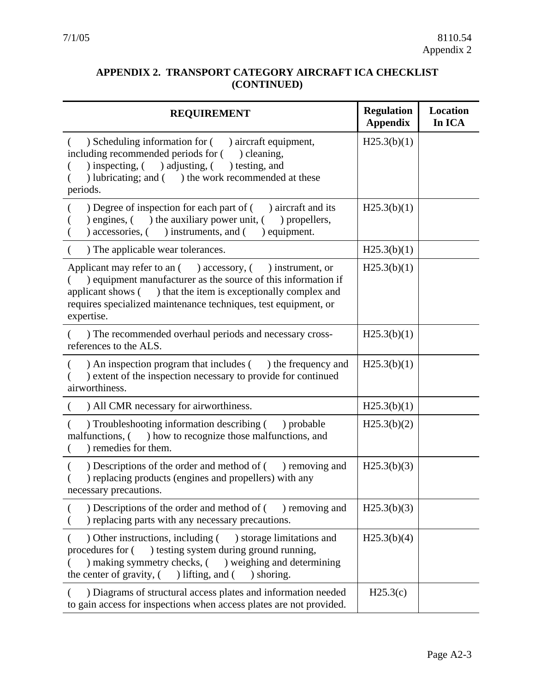#### <span id="page-38-0"></span>**APPENDIX 2. TRANSPORT CATEGORY AIRCRAFT ICA CHECKLIST (CONTINUED)**

| <b>REQUIREMENT</b>                                                                                                                                                                                                                                                                     | <b>Regulation</b><br><b>Appendix</b> | Location<br>In ICA |
|----------------------------------------------------------------------------------------------------------------------------------------------------------------------------------------------------------------------------------------------------------------------------------------|--------------------------------------|--------------------|
| ) Scheduling information for (<br>) aircraft equipment,<br>including recommended periods for (<br>) cleaning,<br>) inspecting, $($ ) adjusting, $($<br>) testing, and<br>) lubricating; and () the work recommended at these<br>periods.                                               | H25.3(b)(1)                          |                    |
| ) Degree of inspection for each part of (<br>) aircraft and its<br>the auxiliary power unit, (<br>) engines, $($<br>) propellers,<br>) accessories, (<br>) instruments, and (<br>) equipment.                                                                                          | H25.3(b)(1)                          |                    |
| ) The applicable wear tolerances.                                                                                                                                                                                                                                                      | H25.3(b)(1)                          |                    |
| Applicant may refer to an $($ ) accessory, $($ ) instrument, or<br>) equipment manufacturer as the source of this information if<br>) that the item is exceptionally complex and<br>applicant shows (<br>requires specialized maintenance techniques, test equipment, or<br>expertise. | H25.3(b)(1)                          |                    |
| ) The recommended overhaul periods and necessary cross-<br>references to the ALS.                                                                                                                                                                                                      | H25.3(b)(1)                          |                    |
| ) An inspection program that includes () the frequency and<br>) extent of the inspection necessary to provide for continued<br>airworthiness.                                                                                                                                          | H25.3(b)(1)                          |                    |
| ) All CMR necessary for airworthiness.                                                                                                                                                                                                                                                 | H25.3(b)(1)                          |                    |
| ) Troubleshooting information describing (<br>) probable<br>malfunctions, (<br>) how to recognize those malfunctions, and<br>) remedies for them.                                                                                                                                      | H25.3(b)(2)                          |                    |
| ) Descriptions of the order and method of (<br>) removing and<br>) replacing products (engines and propellers) with any<br>necessary precautions.                                                                                                                                      | H25.3(b)(3)                          |                    |
| ) Descriptions of the order and method of $($ ) removing and<br>) replacing parts with any necessary precautions.                                                                                                                                                                      | H25.3(b)(3)                          |                    |
| ) Other instructions, including (<br>) storage limitations and<br>procedures for (<br>) testing system during ground running,<br>) making symmetry checks, () weighing and determining<br>the center of gravity, (<br>) lifting, and $($<br>) shoring.                                 | H25.3(b)(4)                          |                    |
| ) Diagrams of structural access plates and information needed<br>to gain access for inspections when access plates are not provided.                                                                                                                                                   | H25.3(c)                             |                    |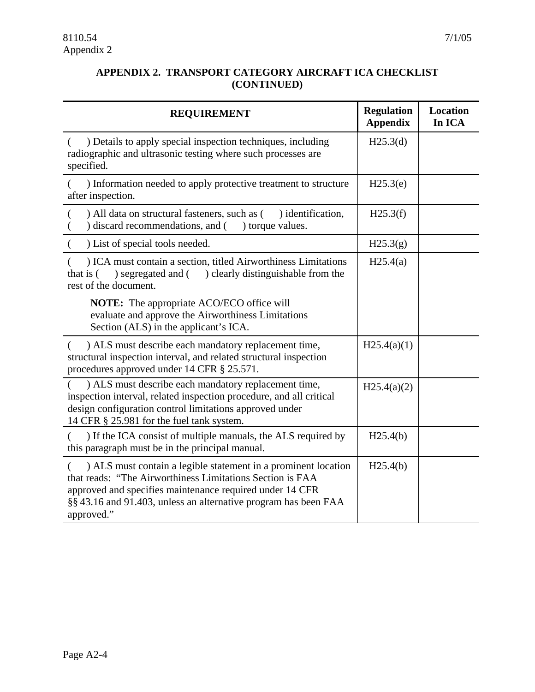#### **APPENDIX 2. TRANSPORT CATEGORY AIRCRAFT ICA CHECKLIST (CONTINUED)**

| <b>REQUIREMENT</b>                                                                                                                                                                                                                                                       | <b>Regulation</b><br><b>Appendix</b> | <b>Location</b><br>In ICA |
|--------------------------------------------------------------------------------------------------------------------------------------------------------------------------------------------------------------------------------------------------------------------------|--------------------------------------|---------------------------|
| ) Details to apply special inspection techniques, including<br>radiographic and ultrasonic testing where such processes are<br>specified.                                                                                                                                | H25.3(d)                             |                           |
| ) Information needed to apply protective treatment to structure<br>after inspection.                                                                                                                                                                                     | H25.3(e)                             |                           |
| ) All data on structural fasteners, such as (<br>) identification,<br>) discard recommendations, and (<br>) torque values.                                                                                                                                               | H25.3(f)                             |                           |
| ) List of special tools needed.                                                                                                                                                                                                                                          | H25.3(g)                             |                           |
| ) ICA must contain a section, titled Airworthiness Limitations<br>) segregated and (<br>) clearly distinguishable from the<br>that is $($<br>rest of the document.                                                                                                       | H25.4(a)                             |                           |
| NOTE: The appropriate ACO/ECO office will<br>evaluate and approve the Airworthiness Limitations<br>Section (ALS) in the applicant's ICA.                                                                                                                                 |                                      |                           |
| ) ALS must describe each mandatory replacement time,<br>structural inspection interval, and related structural inspection<br>procedures approved under 14 CFR § 25.571.                                                                                                  | H25.4(a)(1)                          |                           |
| ) ALS must describe each mandatory replacement time,<br>inspection interval, related inspection procedure, and all critical<br>design configuration control limitations approved under<br>14 CFR § 25.981 for the fuel tank system.                                      | H25.4(a)(2)                          |                           |
| ) If the ICA consist of multiple manuals, the ALS required by<br>this paragraph must be in the principal manual.                                                                                                                                                         | H25.4(b)                             |                           |
| ) ALS must contain a legible statement in a prominent location<br>that reads: "The Airworthiness Limitations Section is FAA<br>approved and specifies maintenance required under 14 CFR<br>§§ 43.16 and 91.403, unless an alternative program has been FAA<br>approved." | H25.4(b)                             |                           |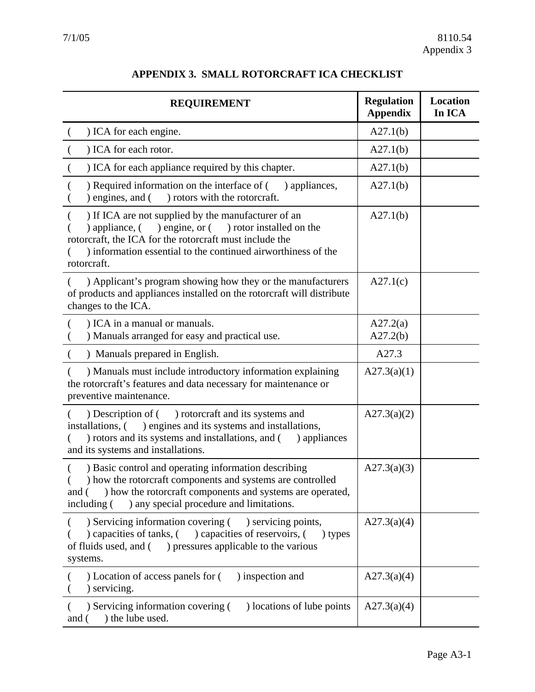| <b>REQUIREMENT</b>                                                                                                                                                                                                                                              | <b>Regulation</b><br><b>Appendix</b> | Location<br>In ICA |
|-----------------------------------------------------------------------------------------------------------------------------------------------------------------------------------------------------------------------------------------------------------------|--------------------------------------|--------------------|
| ) ICA for each engine.                                                                                                                                                                                                                                          | A27.1(b)                             |                    |
| ) ICA for each rotor.                                                                                                                                                                                                                                           | A27.1(b)                             |                    |
| ) ICA for each appliance required by this chapter.                                                                                                                                                                                                              | A27.1(b)                             |                    |
| ) Required information on the interface of (<br>) appliances,<br>) rotors with the rotorcraft.<br>) engines, and (                                                                                                                                              | A27.1(b)                             |                    |
| ) If ICA are not supplied by the manufacturer of an<br>) engine, or ( ) rotor installed on the<br>$)$ appliance, $($<br>rotorcraft, the ICA for the rotorcraft must include the<br>) information essential to the continued airworthiness of the<br>rotorcraft. | A27.1(b)                             |                    |
| ) Applicant's program showing how they or the manufacturers<br>of products and appliances installed on the rotorcraft will distribute<br>changes to the ICA.                                                                                                    | A27.1(c)                             |                    |
| ) ICA in a manual or manuals.<br>) Manuals arranged for easy and practical use.                                                                                                                                                                                 | A27.2(a)<br>A27.2(b)                 |                    |
| ) Manuals prepared in English.                                                                                                                                                                                                                                  | A27.3                                |                    |
| ) Manuals must include introductory information explaining<br>the rotorcraft's features and data necessary for maintenance or<br>preventive maintenance.                                                                                                        | A27.3(a)(1)                          |                    |
| ) rotorcraft and its systems and<br>) Description of (<br>installations, () engines and its systems and installations,<br>) rotors and its systems and installations, and (<br>) appliances<br>and its systems and installations.                               | A27.3(a)(2)                          |                    |
| ) Basic control and operating information describing<br>) how the rotorcraft components and systems are controlled<br>) how the rotorcraft components and systems are operated,<br>and (<br>) any special procedure and limitations.<br>including (             | A27.3(a)(3)                          |                    |
| ) Servicing information covering ( ) servicing points,<br>capacities of tanks, () capacities of reservoirs, (<br>) types<br>of fluids used, and (<br>) pressures applicable to the various<br>systems.                                                          | A27.3(a)(4)                          |                    |
| ) Location of access panels for (<br>) inspection and<br>) servicing.                                                                                                                                                                                           | A27.3(a)(4)                          |                    |
| ) Servicing information covering (<br>) locations of lube points<br>) the lube used.<br>and (                                                                                                                                                                   | A27.3(a)(4)                          |                    |

## **APPENDIX 3. SMALL ROTORCRAFT ICA CHECKLIST**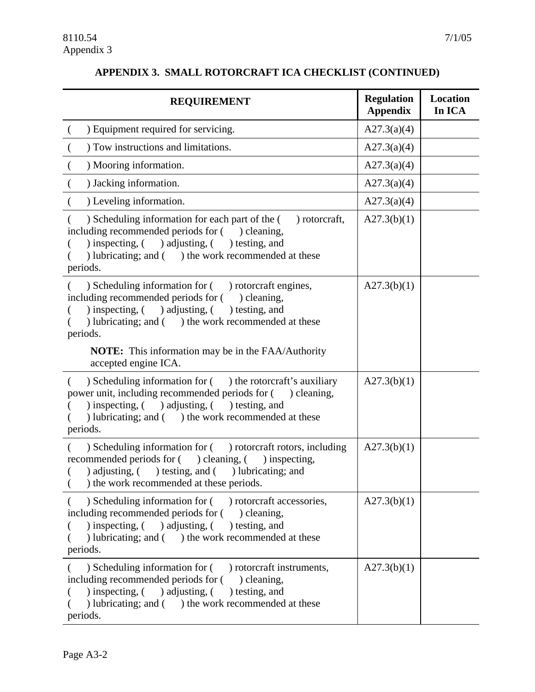#### **APPENDIX 3. SMALL ROTORCRAFT ICA CHECKLIST (CONTINUED)**

| <b>REQUIREMENT</b>                                                                                                                                                                                                                                                          | <b>Regulation</b><br><b>Appendix</b> | <b>Location</b><br>In ICA |
|-----------------------------------------------------------------------------------------------------------------------------------------------------------------------------------------------------------------------------------------------------------------------------|--------------------------------------|---------------------------|
| ) Equipment required for servicing.<br>$\overline{\mathcal{L}}$                                                                                                                                                                                                             | A27.3(a)(4)                          |                           |
| ) Tow instructions and limitations.                                                                                                                                                                                                                                         | A27.3(a)(4)                          |                           |
| ) Mooring information.                                                                                                                                                                                                                                                      | A27.3(a)(4)                          |                           |
| ) Jacking information.                                                                                                                                                                                                                                                      | A27.3(a)(4)                          |                           |
| ) Leveling information.                                                                                                                                                                                                                                                     | A27.3(a)(4)                          |                           |
| ) Scheduling information for each part of the (<br>) rotorcraft,<br>including recommended periods for () cleaning,<br>) inspecting, ( ) adjusting, ( ) testing, and<br>) lubricating; and () the work recommended at these<br>periods.                                      | A27.3(b)(1)                          |                           |
| ) Scheduling information for ( ) rotorcraft engines,<br>including recommended periods for () cleaning,<br>) inspecting, $($ adjusting, $($ besting, and<br>) lubricating; and () the work recommended at these<br>periods.                                                  | A27.3(b)(1)                          |                           |
| <b>NOTE:</b> This information may be in the FAA/Authority<br>accepted engine ICA.                                                                                                                                                                                           |                                      |                           |
| $\sum_{n=1}^{\infty}$ Scheduling information for $($ $)$ the rotorcraft's auxiliary<br>€<br>power unit, including recommended periods for () cleaning,<br>) inspecting, $($ adjusting, $($ besting, and<br>) lubricating; and ( ) the work recommended at these<br>periods. | A27.3(b)(1)                          |                           |
| ) Scheduling information for ( ) rotorcraft rotors, including<br>recommended periods for ( ) cleaning, ( ) inspecting,<br>) adjusting, ( ) testing, and ( ) lubricating; and<br>) the work recommended at these periods.                                                    | A27.3(b)(1)                          |                           |
| ) Scheduling information for ( ) rotorcraft accessories,<br>including recommended periods for () cleaning,<br>) inspecting, $($ $)$ adjusting, $($<br>) testing, and<br>) lubricating; and () the work recommended at these<br>periods.                                     | A27.3(b)(1)                          |                           |
| ) Scheduling information for (<br>) rotorcraft instruments,<br>including recommended periods for () cleaning,<br>) inspecting, $($ $)$ adjusting, $($<br>) testing, and<br>) lubricating; and () the work recommended at these<br>periods.                                  | A27.3(b)(1)                          |                           |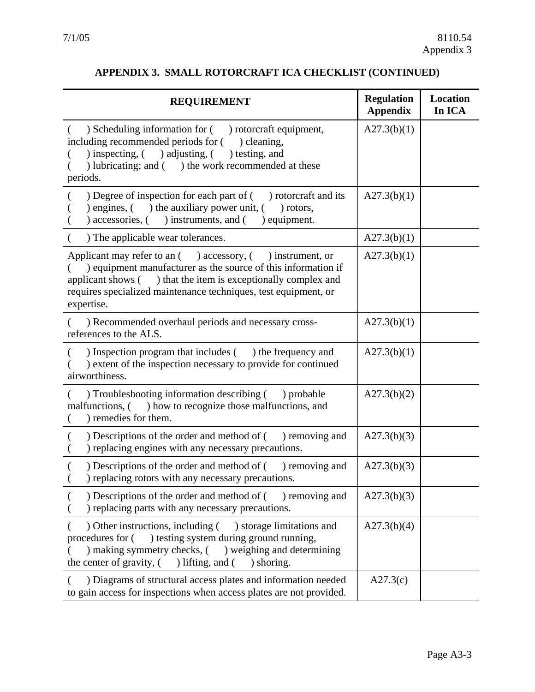## **APPENDIX 3. SMALL ROTORCRAFT ICA CHECKLIST (CONTINUED)**

<span id="page-42-0"></span>

| <b>REQUIREMENT</b>                                                                                                                                                                                                                                                               | <b>Regulation</b><br><b>Appendix</b> | <b>Location</b><br>In ICA |
|----------------------------------------------------------------------------------------------------------------------------------------------------------------------------------------------------------------------------------------------------------------------------------|--------------------------------------|---------------------------|
| ) Scheduling information for ( ) rotorcraft equipment,<br>including recommended periods for (<br>) cleaning,<br>) inspecting, ( ) adjusting, ( ) testing, and<br>) lubricating; and ( ) the work recommended at these<br>periods.                                                | A27.3(b)(1)                          |                           |
| ) Degree of inspection for each part of (<br>) rotorcraft and its<br>) engines, $($ $)$ the auxiliary power unit, $($<br>) rotors,<br>) equipment.<br>) accessories, (<br>) instruments, and (                                                                                   | A27.3(b)(1)                          |                           |
| ) The applicable wear tolerances.                                                                                                                                                                                                                                                | A27.3(b)(1)                          |                           |
| Applicant may refer to an () accessory, (<br>) instrument, or<br>) equipment manufacturer as the source of this information if<br>applicant shows () that the item is exceptionally complex and<br>requires specialized maintenance techniques, test equipment, or<br>expertise. | A27.3(b)(1)                          |                           |
| ) Recommended overhaul periods and necessary cross-<br>references to the ALS.                                                                                                                                                                                                    | A27.3(b)(1)                          |                           |
| ) Inspection program that includes () the frequency and<br>) extent of the inspection necessary to provide for continued<br>airworthiness.                                                                                                                                       | A27.3(b)(1)                          |                           |
| ) Troubleshooting information describing () probable<br>malfunctions, () how to recognize those malfunctions, and<br>) remedies for them.                                                                                                                                        | A27.3(b)(2)                          |                           |
| ) Descriptions of the order and method of (<br>) removing and<br>) replacing engines with any necessary precautions.                                                                                                                                                             | A27.3(b)(3)                          |                           |
| ) Descriptions of the order and method of $($ ) removing and<br>) replacing rotors with any necessary precautions.                                                                                                                                                               | A27.3(b)(3)                          |                           |
| ) Descriptions of the order and method of $($ ) removing and<br>) replacing parts with any necessary precautions.                                                                                                                                                                | A27.3(b)(3)                          |                           |
| Other instructions, including () storage limitations and<br>) testing system during ground running,<br>procedures for (<br>) making symmetry checks, (<br>) weighing and determining<br>the center of gravity, (<br>) lifting, and $($<br>) shoring.                             | A27.3(b)(4)                          |                           |
| ) Diagrams of structural access plates and information needed<br>to gain access for inspections when access plates are not provided.                                                                                                                                             | A27.3(c)                             |                           |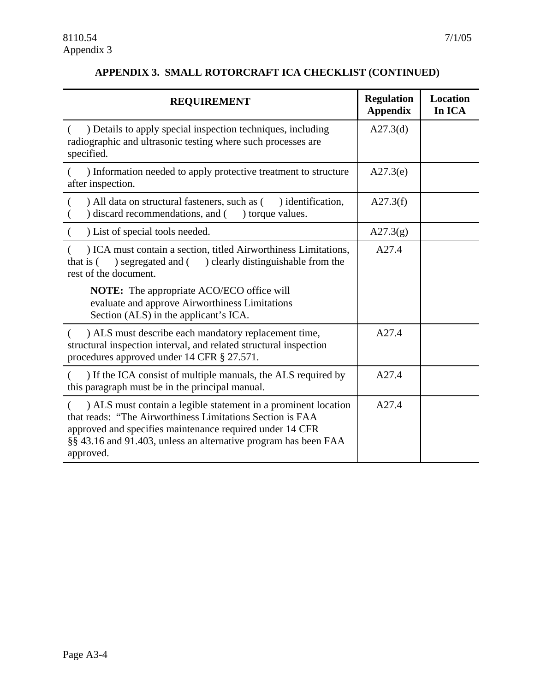#### **APPENDIX 3. SMALL ROTORCRAFT ICA CHECKLIST (CONTINUED)**

| <b>REQUIREMENT</b>                                                                                                                                                                                                                                                      | <b>Regulation</b><br><b>Appendix</b> | <b>Location</b><br>In ICA |
|-------------------------------------------------------------------------------------------------------------------------------------------------------------------------------------------------------------------------------------------------------------------------|--------------------------------------|---------------------------|
| ) Details to apply special inspection techniques, including<br>radiographic and ultrasonic testing where such processes are<br>specified.                                                                                                                               | A27.3(d)                             |                           |
| ) Information needed to apply protective treatment to structure<br>after inspection.                                                                                                                                                                                    | A27.3(e)                             |                           |
| ) All data on structural fasteners, such as (<br>) identification,<br>discard recommendations, and () torque values.                                                                                                                                                    | A27.3(f)                             |                           |
| ) List of special tools needed.                                                                                                                                                                                                                                         | A27.3(g)                             |                           |
| ) ICA must contain a section, titled Airworthiness Limitations,<br>) clearly distinguishable from the<br>) segregated and (<br>that is (<br>rest of the document.                                                                                                       | A27.4                                |                           |
| <b>NOTE:</b> The appropriate ACO/ECO office will<br>evaluate and approve Airworthiness Limitations<br>Section (ALS) in the applicant's ICA.                                                                                                                             |                                      |                           |
| ) ALS must describe each mandatory replacement time,<br>structural inspection interval, and related structural inspection<br>procedures approved under 14 CFR § 27.571.                                                                                                 | A27.4                                |                           |
| ) If the ICA consist of multiple manuals, the ALS required by<br>this paragraph must be in the principal manual.                                                                                                                                                        | A27.4                                |                           |
| ) ALS must contain a legible statement in a prominent location<br>that reads: "The Airworthiness Limitations Section is FAA<br>approved and specifies maintenance required under 14 CFR<br>§§ 43.16 and 91.403, unless an alternative program has been FAA<br>approved. | A27.4                                |                           |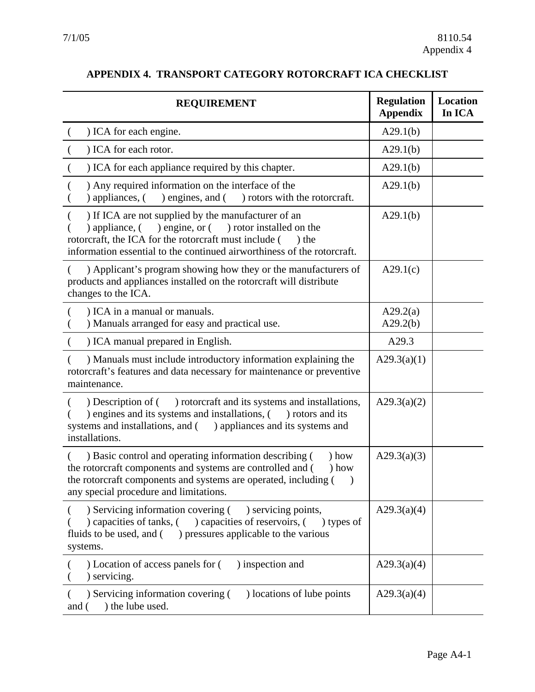| <b>REQUIREMENT</b>                                                                                                                                                                                                                                                     | <b>Regulation</b><br><b>Appendix</b> | <b>Location</b><br>In ICA |
|------------------------------------------------------------------------------------------------------------------------------------------------------------------------------------------------------------------------------------------------------------------------|--------------------------------------|---------------------------|
| ) ICA for each engine.                                                                                                                                                                                                                                                 | A29.1(b)                             |                           |
| ) ICA for each rotor.                                                                                                                                                                                                                                                  | A29.1(b)                             |                           |
| ) ICA for each appliance required by this chapter.                                                                                                                                                                                                                     | A29.1(b)                             |                           |
| ) Any required information on the interface of the<br>) appliances, (<br>) engines, and (<br>) rotors with the rotorcraft.                                                                                                                                             | A29.1(b)                             |                           |
| ) If ICA are not supplied by the manufacturer of an<br>) engine, or $($<br>) rotor installed on the<br>) appliance, $($<br>rotorcraft, the ICA for the rotorcraft must include (<br>$)$ the<br>information essential to the continued airworthiness of the rotorcraft. | A29.1(b)                             |                           |
| ) Applicant's program showing how they or the manufacturers of<br>products and appliances installed on the rotorcraft will distribute<br>changes to the ICA.                                                                                                           | A29.1(c)                             |                           |
| ) ICA in a manual or manuals.<br>) Manuals arranged for easy and practical use.                                                                                                                                                                                        | A29.2(a)<br>A29.2(b)                 |                           |
| ) ICA manual prepared in English.                                                                                                                                                                                                                                      | A29.3                                |                           |
| ) Manuals must include introductory information explaining the<br>rotorcraft's features and data necessary for maintenance or preventive<br>maintenance.                                                                                                               | A29.3(a)(1)                          |                           |
| ) rotorcraft and its systems and installations,<br>) Description of (<br>) engines and its systems and installations, (<br>) rotors and its<br>) appliances and its systems and<br>systems and installations, and (<br>installations.                                  | A29.3(a)(2)                          |                           |
| ) Basic control and operating information describing (<br>) how<br>the rotorcraft components and systems are controlled and (<br>$)$ how<br>the rotorcraft components and systems are operated, including (<br>$\rightarrow$<br>any special procedure and limitations. | A29.3(a)(3)                          |                           |
| ) Servicing information covering (<br>) servicing points,<br>) capacities of tanks, (<br>) capacities of reservoirs, (<br>) types of<br>) pressures applicable to the various<br>fluids to be used, and (<br>systems.                                                  | A29.3(a)(4)                          |                           |
| ) Location of access panels for (<br>) inspection and<br>) servicing.                                                                                                                                                                                                  | A29.3(a)(4)                          |                           |
| ) locations of lube points<br>) Servicing information covering (<br>) the lube used.<br>and (                                                                                                                                                                          | A29.3(a)(4)                          |                           |

## **APPENDIX 4. TRANSPORT CATEGORY ROTORCRAFT ICA CHECKLIST**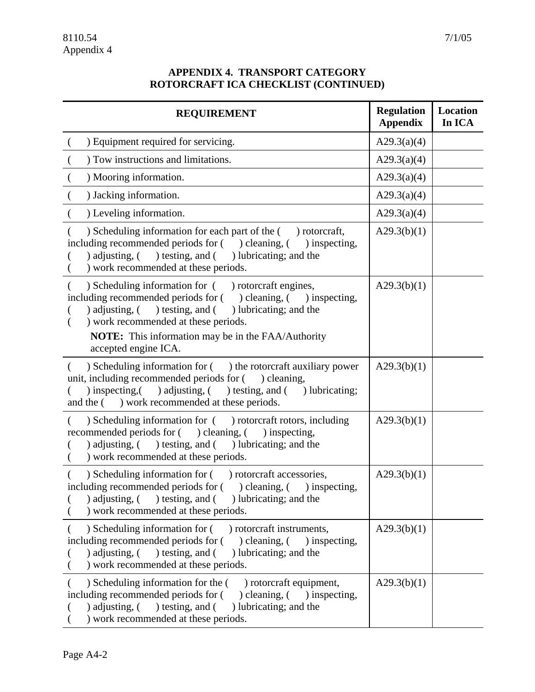#### **APPENDIX 4. TRANSPORT CATEGORY ROTORCRAFT ICA CHECKLIST (CONTINUED)**

| <b>REQUIREMENT</b>                                                                                                                                                                                                                                                                                                                        | <b>Regulation</b><br><b>Appendix</b> | Location<br>In ICA |
|-------------------------------------------------------------------------------------------------------------------------------------------------------------------------------------------------------------------------------------------------------------------------------------------------------------------------------------------|--------------------------------------|--------------------|
| ) Equipment required for servicing.                                                                                                                                                                                                                                                                                                       | A29.3(a)(4)                          |                    |
| ) Tow instructions and limitations.                                                                                                                                                                                                                                                                                                       | A29.3(a)(4)                          |                    |
| ) Mooring information.                                                                                                                                                                                                                                                                                                                    | A29.3(a)(4)                          |                    |
| ) Jacking information.                                                                                                                                                                                                                                                                                                                    | A29.3(a)(4)                          |                    |
| ) Leveling information.                                                                                                                                                                                                                                                                                                                   | A29.3(a)(4)                          |                    |
| ) Scheduling information for each part of the () rotorcraft,<br>including recommended periods for () cleaning, () inspecting,<br>) adjusting, ( ) testing, and ( ) lubricating; and the<br>) work recommended at these periods.                                                                                                           | A29.3(b)(1)                          |                    |
| ) Scheduling information for ( ) rotorcraft engines,<br>including recommended periods for () cleaning, () inspecting,<br>$\alpha$ adjusting, $\alpha$ ) testing, and $\alpha$<br>) lubricating; and the<br>) work recommended at these periods.<br>€<br><b>NOTE:</b> This information may be in the FAA/Authority<br>accepted engine ICA. | A29.3(b)(1)                          |                    |
| ) Scheduling information for ( ) the rotorcraft auxiliary power<br>$\left($<br>unit, including recommended periods for ( ) cleaning,<br>) inspecting, ( ) adjusting, ( ) testing, and ( ) lubricating;<br>) work recommended at these periods.<br>and the (                                                                               | A29.3(b)(1)                          |                    |
| ) Scheduling information for ( ) rotorcraft rotors, including<br>recommended periods for () cleaning, () inspecting,<br>$\alpha$ adjusting, $\alpha$ ) testing, and $\alpha$<br>) lubricating; and the<br>) work recommended at these periods.                                                                                            | A29.3(b)(1)                          |                    |
| ) Scheduling information for ( ) rotorcraft accessories,<br>including recommended periods for (<br>$)$ cleaning, $($<br>) inspecting,<br>) adjusting, $($<br>) testing, and () lubricating; and the<br>) work recommended at these periods.                                                                                               | A29.3(b)(1)                          |                    |
| ) Scheduling information for (<br>) rotorcraft instruments,<br>including recommended periods for (<br>) cleaning, $($<br>) inspecting,<br>) testing, and (<br>) adjusting, $($<br>) lubricating; and the<br>) work recommended at these periods.                                                                                          | A29.3(b)(1)                          |                    |
| ) Scheduling information for the (<br>) rotorcraft equipment,<br>including recommended periods for (<br>$)$ cleaning, $($ $)$ inspecting,<br>) adjusting, $($<br>) testing, and (<br>) lubricating; and the<br>) work recommended at these periods.                                                                                       | A29.3(b)(1)                          |                    |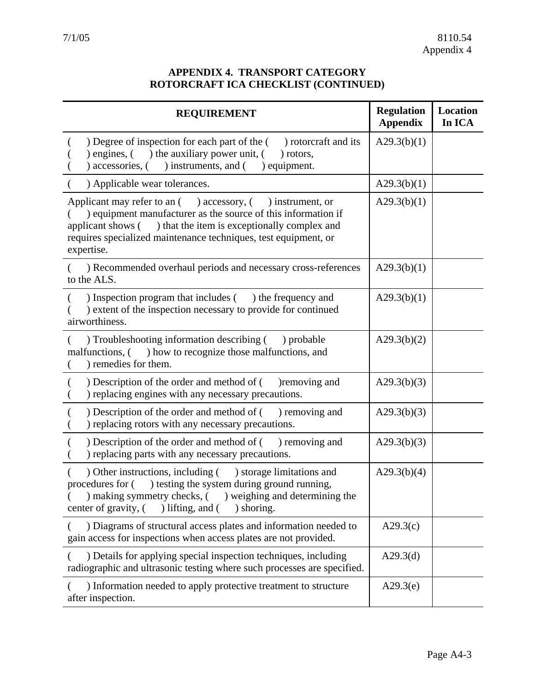#### **APPENDIX 4. TRANSPORT CATEGORY ROTORCRAFT ICA CHECKLIST (CONTINUED)**

<span id="page-46-0"></span>

| <b>REQUIREMENT</b>                                                                                                                                                                                                                                                               | <b>Regulation</b><br><b>Appendix</b> | Location<br>In ICA |
|----------------------------------------------------------------------------------------------------------------------------------------------------------------------------------------------------------------------------------------------------------------------------------|--------------------------------------|--------------------|
| Degree of inspection for each part of the () rotorcraft and its<br>engines, () the auxiliary power unit, (<br>) rotors,<br>) accessories, (<br>) instruments, and (<br>equipment.                                                                                                | A29.3(b)(1)                          |                    |
| ) Applicable wear tolerances.                                                                                                                                                                                                                                                    | A29.3(b)(1)                          |                    |
| Applicant may refer to an () accessory, (<br>) instrument, or<br>) equipment manufacturer as the source of this information if<br>applicant shows () that the item is exceptionally complex and<br>requires specialized maintenance techniques, test equipment, or<br>expertise. | A29.3(b)(1)                          |                    |
| ) Recommended overhaul periods and necessary cross-references<br>to the ALS.                                                                                                                                                                                                     | A29.3(b)(1)                          |                    |
| ) Inspection program that includes $($ ) the frequency and<br>) extent of the inspection necessary to provide for continued<br>airworthiness.                                                                                                                                    | A29.3(b)(1)                          |                    |
| ) Troubleshooting information describing (<br>) probable<br>) how to recognize those malfunctions, and<br>malfunctions, (<br>) remedies for them.                                                                                                                                | A29.3(b)(2)                          |                    |
| ) Description of the order and method of (<br>)removing and<br>) replacing engines with any necessary precautions.                                                                                                                                                               | A29.3(b)(3)                          |                    |
| ) Description of the order and method of (<br>) removing and<br>) replacing rotors with any necessary precautions.                                                                                                                                                               | A29.3(b)(3)                          |                    |
| ) Description of the order and method of (<br>) removing and<br>) replacing parts with any necessary precautions.                                                                                                                                                                | A29.3(b)(3)                          |                    |
| ) storage limitations and<br>) Other instructions, including (<br>procedures for () testing the system during ground running,<br>) making symmetry checks, ( ) weighing and determining the<br>center of gravity, (<br>) lifting, and $($<br>) shoring.                          | A29.3(b)(4)                          |                    |
| ) Diagrams of structural access plates and information needed to<br>gain access for inspections when access plates are not provided.                                                                                                                                             | A29.3(c)                             |                    |
| ) Details for applying special inspection techniques, including<br>radiographic and ultrasonic testing where such processes are specified.                                                                                                                                       | A29.3(d)                             |                    |
| ) Information needed to apply protective treatment to structure<br>after inspection.                                                                                                                                                                                             | A29.3(e)                             |                    |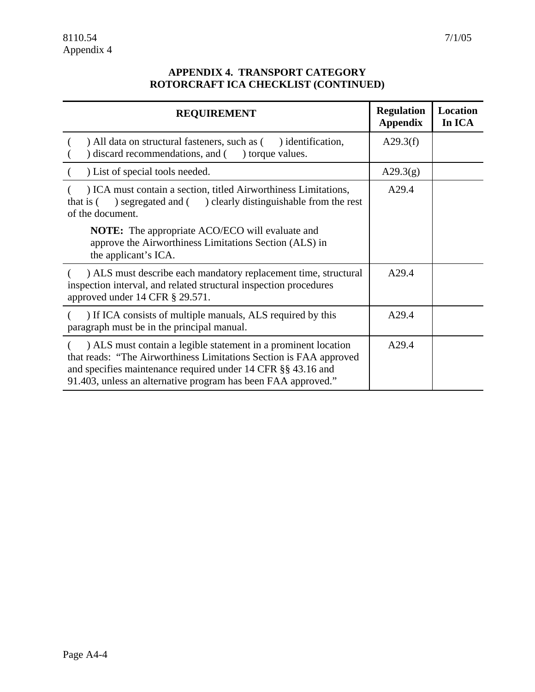#### **APPENDIX 4. TRANSPORT CATEGORY ROTORCRAFT ICA CHECKLIST (CONTINUED)**

| <b>REQUIREMENT</b>                                                                                                                                                                                                                                                    | <b>Regulation</b><br><b>Appendix</b> | <b>Location</b><br>In ICA |
|-----------------------------------------------------------------------------------------------------------------------------------------------------------------------------------------------------------------------------------------------------------------------|--------------------------------------|---------------------------|
| ) All data on structural fasteners, such as (<br>identification,<br>) discard recommendations, and (<br>) torque values.                                                                                                                                              | A29.3(f)                             |                           |
| ) List of special tools needed.                                                                                                                                                                                                                                       | A29.3(g)                             |                           |
| ) ICA must contain a section, titled Airworthiness Limitations,<br>segregated and () clearly distinguishable from the rest<br>that is (<br>of the document.                                                                                                           | A29.4                                |                           |
| <b>NOTE:</b> The appropriate ACO/ECO will evaluate and<br>approve the Airworthiness Limitations Section (ALS) in<br>the applicant's ICA.                                                                                                                              |                                      |                           |
| ) ALS must describe each mandatory replacement time, structural<br>inspection interval, and related structural inspection procedures<br>approved under 14 CFR § 29.571.                                                                                               | A29.4                                |                           |
| ) If ICA consists of multiple manuals, ALS required by this<br>paragraph must be in the principal manual.                                                                                                                                                             | A29.4                                |                           |
| ) ALS must contain a legible statement in a prominent location<br>that reads: "The Airworthiness Limitations Section is FAA approved<br>and specifies maintenance required under 14 CFR §§ 43.16 and<br>91.403, unless an alternative program has been FAA approved." | A29.4                                |                           |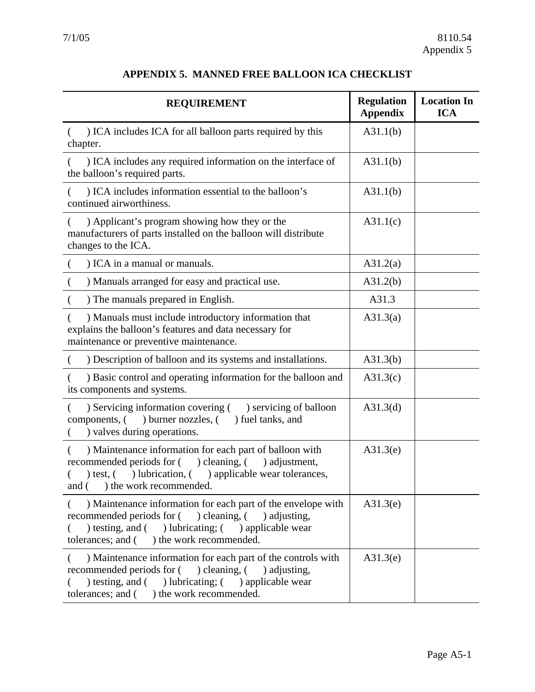| <b>REQUIREMENT</b>                                                                                                                                                                                                                           | <b>Regulation</b><br><b>Appendix</b> | <b>Location In</b><br><b>ICA</b> |
|----------------------------------------------------------------------------------------------------------------------------------------------------------------------------------------------------------------------------------------------|--------------------------------------|----------------------------------|
| ) ICA includes ICA for all balloon parts required by this<br>chapter.                                                                                                                                                                        | A31.1(b)                             |                                  |
| ) ICA includes any required information on the interface of<br>the balloon's required parts.                                                                                                                                                 | A31.1(b)                             |                                  |
| ) ICA includes information essential to the balloon's<br>continued airworthiness.                                                                                                                                                            | A31.1(b)                             |                                  |
| ) Applicant's program showing how they or the<br>manufacturers of parts installed on the balloon will distribute<br>changes to the ICA.                                                                                                      | A31.1(c)                             |                                  |
| ) ICA in a manual or manuals.                                                                                                                                                                                                                | A31.2(a)                             |                                  |
| ) Manuals arranged for easy and practical use.<br>$\left($                                                                                                                                                                                   | A31.2(b)                             |                                  |
| ) The manuals prepared in English.                                                                                                                                                                                                           | A31.3                                |                                  |
| ) Manuals must include introductory information that<br>explains the balloon's features and data necessary for<br>maintenance or preventive maintenance.                                                                                     | A31.3(a)                             |                                  |
| ) Description of balloon and its systems and installations.                                                                                                                                                                                  | A31.3(b)                             |                                  |
| ) Basic control and operating information for the balloon and<br>its components and systems.                                                                                                                                                 | A31.3(c)                             |                                  |
| ) Servicing information covering (<br>) servicing of balloon<br>€<br>) burner nozzles, (<br>components, (<br>) fuel tanks, and<br>) valves during operations.                                                                                | A31.3(d)                             |                                  |
| ) Maintenance information for each part of balloon with<br>recommended periods for () cleaning, (<br>) adjustment,<br>) lubrication, (<br>) applicable wear tolerances,<br>) test, $($<br>and (<br>) the work recommended.                   | A31.3(e)                             |                                  |
| ) Maintenance information for each part of the envelope with<br>) cleaning, $($<br>recommended periods for (<br>) adjusting,<br>) testing, and $($ ) lubricating; $($ ) applicable wear<br>tolerances; and (<br>) the work recommended.      | A31.3(e)                             |                                  |
| ) Maintenance information for each part of the controls with<br>€<br>recommended periods for (<br>) cleaning, $($<br>) adjusting,<br>) testing, and $($ ) lubricating; $($ ) applicable wear<br>tolerances; and (<br>) the work recommended. | A31.3(e)                             |                                  |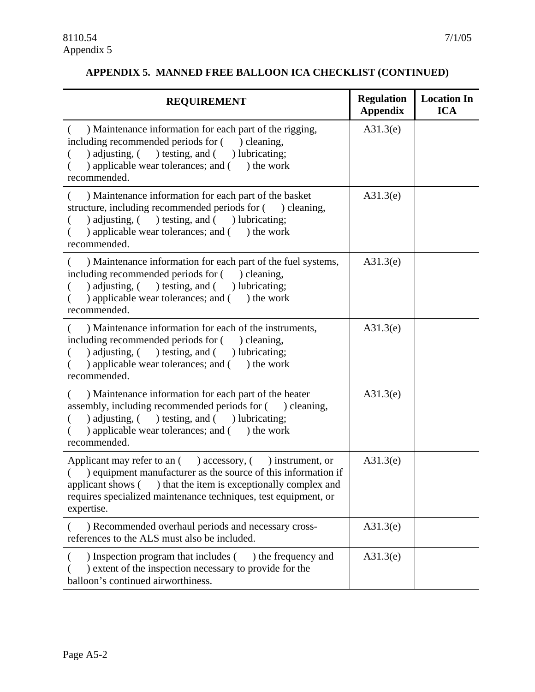#### **APPENDIX 5. MANNED FREE BALLOON ICA CHECKLIST (CONTINUED)**

| <b>REQUIREMENT</b>                                                                                                                                                                                                                                                                     | <b>Regulation</b><br><b>Appendix</b> | <b>Location In</b><br><b>ICA</b> |
|----------------------------------------------------------------------------------------------------------------------------------------------------------------------------------------------------------------------------------------------------------------------------------------|--------------------------------------|----------------------------------|
| ) Maintenance information for each part of the rigging,<br>including recommended periods for () cleaning,<br>) adjusting, ( ) testing, and ( ) lubricating;<br>) applicable wear tolerances; and () the work<br>recommended.                                                           | A31.3(e)                             |                                  |
| ) Maintenance information for each part of the basket<br>(<br>structure, including recommended periods for () cleaning,<br>) adjusting, ( ) testing, and ( ) lubricating;<br>) applicable wear tolerances; and () the work<br>recommended.                                             | A31.3(e)                             |                                  |
| ) Maintenance information for each part of the fuel systems,<br>including recommended periods for ( ) cleaning,<br>) adjusting, ( ) testing, and ( ) lubricating;<br>€<br>) applicable wear tolerances; and () the work<br>recommended.                                                | A31.3(e)                             |                                  |
| ) Maintenance information for each of the instruments,<br>including recommended periods for () cleaning,<br>) adjusting, ( ) testing, and ( ) lubricating;<br>) applicable wear tolerances; and () the work<br>recommended.                                                            | A31.3(e)                             |                                  |
| ) Maintenance information for each part of the heater<br>assembly, including recommended periods for () cleaning,<br>) adjusting, ( ) testing, and ( ) lubricating;<br>) applicable wear tolerances; and ( ) the work<br>recommended.                                                  | A31.3(e)                             |                                  |
| Applicant may refer to an $($ ) accessory, $($ ) instrument, or<br>) equipment manufacturer as the source of this information if<br>applicant shows (<br>) that the item is exceptionally complex and<br>requires specialized maintenance techniques, test equipment, or<br>expertise. | A31.3(e)                             |                                  |
| ) Recommended overhaul periods and necessary cross-<br>references to the ALS must also be included.                                                                                                                                                                                    | A31.3(e)                             |                                  |
| ) Inspection program that includes (<br>) the frequency and<br>) extent of the inspection necessary to provide for the<br>balloon's continued airworthiness.                                                                                                                           | A31.3(e)                             |                                  |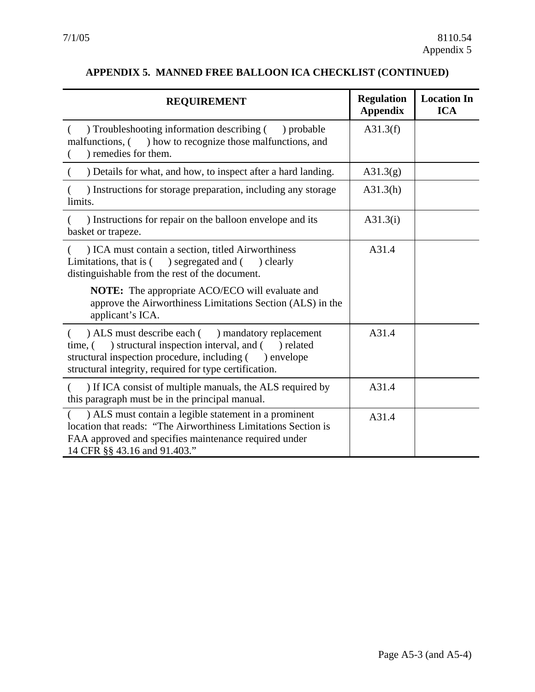#### <span id="page-50-0"></span>**APPENDIX 5. MANNED FREE BALLOON ICA CHECKLIST (CONTINUED)**

| <b>REQUIREMENT</b>                                                                                                                                                                                                                            | <b>Regulation</b><br><b>Appendix</b> | <b>Location In</b><br><b>ICA</b> |
|-----------------------------------------------------------------------------------------------------------------------------------------------------------------------------------------------------------------------------------------------|--------------------------------------|----------------------------------|
| ) Troubleshooting information describing () probable<br>malfunctions, () how to recognize those malfunctions, and<br>) remedies for them.                                                                                                     | A31.3(f)                             |                                  |
| ) Details for what, and how, to inspect after a hard landing.                                                                                                                                                                                 | A31.3(g)                             |                                  |
| ) Instructions for storage preparation, including any storage<br>limits.                                                                                                                                                                      | A31.3(h)                             |                                  |
| ) Instructions for repair on the balloon envelope and its<br>basket or trapeze.                                                                                                                                                               | A31.3(i)                             |                                  |
| ) ICA must contain a section, titled Airworthiness<br>Limitations, that is (<br>) segregated and ( ) clearly<br>distinguishable from the rest of the document.                                                                                | A31.4                                |                                  |
| NOTE: The appropriate ACO/ECO will evaluate and<br>approve the Airworthiness Limitations Section (ALS) in the<br>applicant's ICA.                                                                                                             |                                      |                                  |
| ) ALS must describe each () mandatory replacement<br>€<br>) structural inspection interval, and (<br>time, (<br>) related<br>structural inspection procedure, including () envelope<br>structural integrity, required for type certification. | A31.4                                |                                  |
| ) If ICA consist of multiple manuals, the ALS required by<br>this paragraph must be in the principal manual.                                                                                                                                  | A31.4                                |                                  |
| ) ALS must contain a legible statement in a prominent<br>location that reads: "The Airworthiness Limitations Section is<br>FAA approved and specifies maintenance required under<br>14 CFR §§ 43.16 and 91.403."                              | A31.4                                |                                  |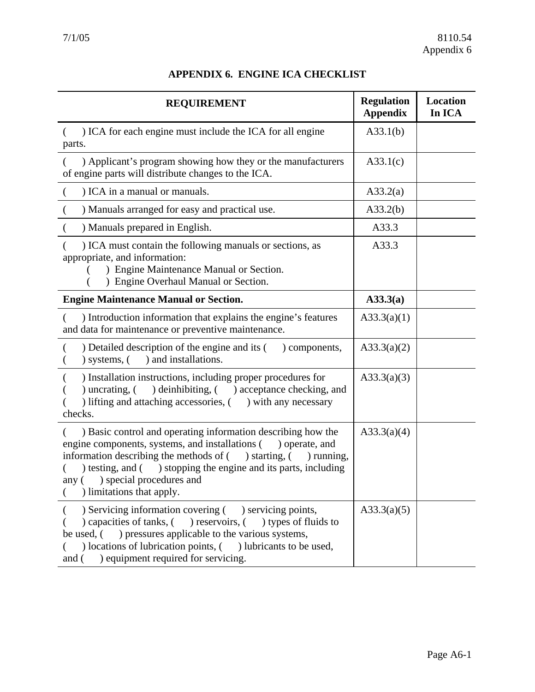| APPENDIX 6. ENGINE ICA CHECKLIST |  |  |
|----------------------------------|--|--|
|----------------------------------|--|--|

| <b>REQUIREMENT</b>                                                                                                                                                                                                                                                                                                                         | <b>Regulation</b><br><b>Appendix</b> | <b>Location</b><br>In ICA |
|--------------------------------------------------------------------------------------------------------------------------------------------------------------------------------------------------------------------------------------------------------------------------------------------------------------------------------------------|--------------------------------------|---------------------------|
| ) ICA for each engine must include the ICA for all engine<br>€<br>parts.                                                                                                                                                                                                                                                                   | A33.1(b)                             |                           |
| ) Applicant's program showing how they or the manufacturers<br>of engine parts will distribute changes to the ICA.                                                                                                                                                                                                                         | A33.1(c)                             |                           |
| ) ICA in a manual or manuals.                                                                                                                                                                                                                                                                                                              | A33.2(a)                             |                           |
| ) Manuals arranged for easy and practical use.<br>$\overline{C}$                                                                                                                                                                                                                                                                           | A33.2(b)                             |                           |
| ) Manuals prepared in English.                                                                                                                                                                                                                                                                                                             | A33.3                                |                           |
| ) ICA must contain the following manuals or sections, as<br>appropriate, and information:<br>) Engine Maintenance Manual or Section.<br>) Engine Overhaul Manual or Section.                                                                                                                                                               | A33.3                                |                           |
| <b>Engine Maintenance Manual or Section.</b>                                                                                                                                                                                                                                                                                               | A33.3(a)                             |                           |
| ) Introduction information that explains the engine's features<br>and data for maintenance or preventive maintenance.                                                                                                                                                                                                                      | A33.3(a)(1)                          |                           |
| ) Detailed description of the engine and its (<br>) components,<br>) and installations.<br>$)$ systems, $($                                                                                                                                                                                                                                | A33.3(a)(2)                          |                           |
| ) Installation instructions, including proper procedures for<br>) uncrating, $($<br>) deinhibiting, ( ) acceptance checking, and<br>) lifting and attaching accessories, () with any necessary<br>checks.                                                                                                                                  | A33.3(a)(3)                          |                           |
| ) Basic control and operating information describing how the<br>engine components, systems, and installations (<br>) operate, and<br>information describing the methods of $($ ) starting, $($ ) running,<br>) testing, and ( ) stopping the engine and its parts, including<br>any () special procedures and<br>) limitations that apply. | A33.3(a)(4)                          |                           |
| ) Servicing information covering () servicing points,<br>reservoirs, () types of fluids to<br>) capacities of tanks, (<br>) pressures applicable to the various systems,<br>be used, (<br>(beta locations of lubrication points, (c) lubricants to be used,<br>) equipment required for servicing.<br>and (                                | A33.3(a)(5)                          |                           |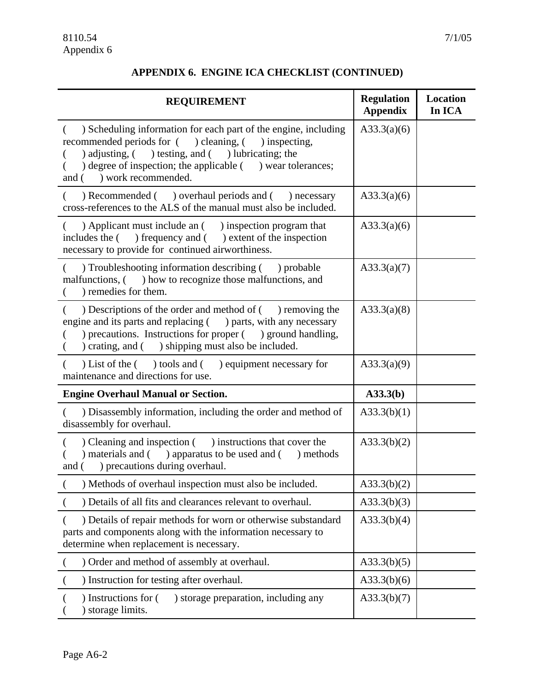#### **APPENDIX 6. ENGINE ICA CHECKLIST (CONTINUED)**

| <b>REQUIREMENT</b>                                                                                                                                                                                                                                                                  | <b>Regulation</b><br><b>Appendix</b> | <b>Location</b><br>In ICA |
|-------------------------------------------------------------------------------------------------------------------------------------------------------------------------------------------------------------------------------------------------------------------------------------|--------------------------------------|---------------------------|
| ) Scheduling information for each part of the engine, including<br>$\left($<br>recommended periods for () cleaning, () inspecting,<br>) adjusting, ( ) testing, and ( ) lubricating; the<br>) degree of inspection; the applicable ( ) wear tolerances;<br>and () work recommended. | A33.3(a)(6)                          |                           |
| ) Recommended ( ) overhaul periods and ( ) necessary<br>cross-references to the ALS of the manual must also be included.                                                                                                                                                            | A33.3(a)(6)                          |                           |
| ) Applicant must include an () inspection program that<br>€<br>includes the $($ ) frequency and $($ ) extent of the inspection<br>necessary to provide for continued airworthiness.                                                                                                 | A33.3(a)(6)                          |                           |
| ) Troubleshooting information describing () probable<br>€<br>malfunctions, () how to recognize those malfunctions, and<br>) remedies for them.                                                                                                                                      | A33.3(a)(7)                          |                           |
| Descriptions of the order and method of () removing the<br>$\left($<br>engine and its parts and replacing $($ ) parts, with any necessary<br>) precautions. Instructions for proper ( ) ground handling,<br>) crating, and ( ) shipping must also be included.<br>€                 | A33.3(a)(8)                          |                           |
| ) List of the $($ btools and $($ bequipment necessary for<br>(<br>maintenance and directions for use.                                                                                                                                                                               | A33.3(a)(9)                          |                           |
| <b>Engine Overhaul Manual or Section.</b>                                                                                                                                                                                                                                           | A33.3(b)                             |                           |
| ) Disassembly information, including the order and method of<br>disassembly for overhaul.                                                                                                                                                                                           | A33.3(b)(1)                          |                           |
| Cleaning and inspection () instructions that cover the<br>) materials and ( ) apparatus to be used and ( ) methods<br>) precautions during overhaul.<br>and (                                                                                                                       | A33.3(b)(2)                          |                           |
| ) Methods of overhaul inspection must also be included.                                                                                                                                                                                                                             | A33.3(b)(2)                          |                           |
| ) Details of all fits and clearances relevant to overhaul.                                                                                                                                                                                                                          | A33.3(b)(3)                          |                           |
| ) Details of repair methods for worn or otherwise substandard<br>parts and components along with the information necessary to<br>determine when replacement is necessary.                                                                                                           | A33.3(b)(4)                          |                           |
| ) Order and method of assembly at overhaul.                                                                                                                                                                                                                                         | A33.3(b)(5)                          |                           |
| ) Instruction for testing after overhaul.                                                                                                                                                                                                                                           | A33.3(b)(6)                          |                           |
| ) Instructions for (<br>) storage preparation, including any<br>) storage limits.                                                                                                                                                                                                   | A33.3(b)(7)                          |                           |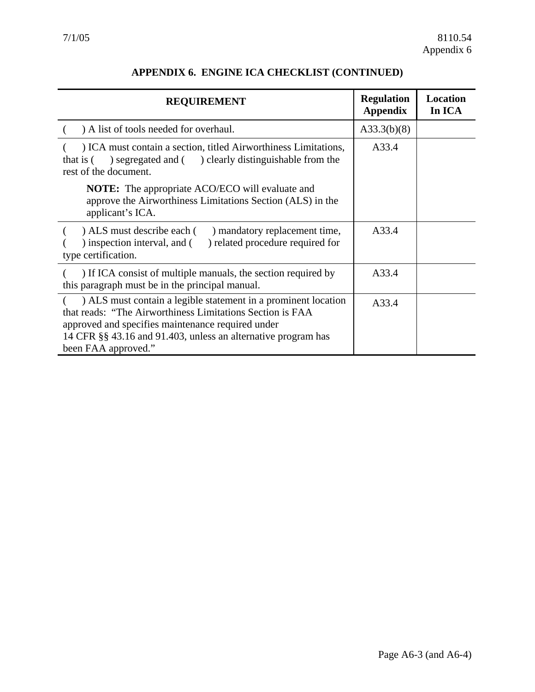<span id="page-54-0"></span>

| <b>REQUIREMENT</b>                                                                                                                                                                                                                                                       | <b>Regulation</b><br><b>Appendix</b> | <b>Location</b><br>In ICA |
|--------------------------------------------------------------------------------------------------------------------------------------------------------------------------------------------------------------------------------------------------------------------------|--------------------------------------|---------------------------|
| ) A list of tools needed for overhaul.                                                                                                                                                                                                                                   | A33.3(b)(8)                          |                           |
| ) ICA must contain a section, titled Airworthiness Limitations,<br>segregated and () clearly distinguishable from the<br>that is (<br>rest of the document.                                                                                                              | A33.4                                |                           |
| <b>NOTE:</b> The appropriate ACO/ECO will evaluate and<br>approve the Airworthiness Limitations Section (ALS) in the<br>applicant's ICA.                                                                                                                                 |                                      |                           |
| ) ALS must describe each (<br>) mandatory replacement time,<br>) inspection interval, and (<br>) related procedure required for<br>type certification.                                                                                                                   | A33.4                                |                           |
| ) If ICA consist of multiple manuals, the section required by<br>this paragraph must be in the principal manual.                                                                                                                                                         | A33.4                                |                           |
| ) ALS must contain a legible statement in a prominent location<br>that reads: "The Airworthiness Limitations Section is FAA<br>approved and specifies maintenance required under<br>14 CFR §§ 43.16 and 91.403, unless an alternative program has<br>been FAA approved." | A33.4                                |                           |

#### **APPENDIX 6. ENGINE ICA CHECKLIST (CONTINUED)**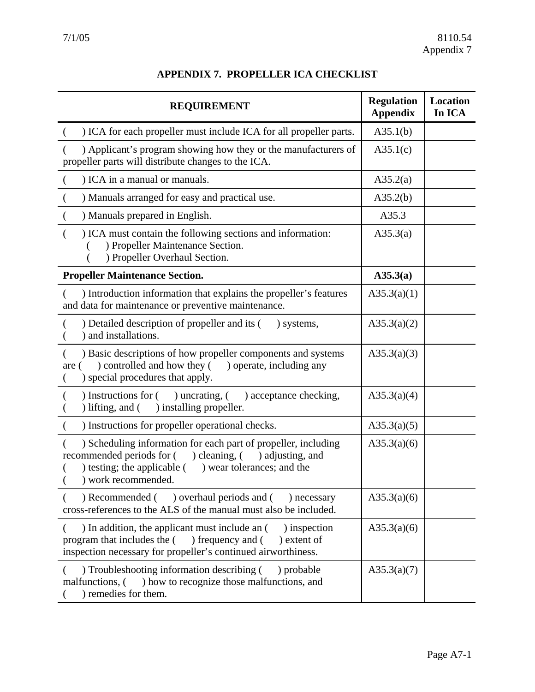| <b>REQUIREMENT</b>                                                                                                                                                                                                     | <b>Regulation</b><br><b>Appendix</b> | <b>Location</b><br>In ICA |
|------------------------------------------------------------------------------------------------------------------------------------------------------------------------------------------------------------------------|--------------------------------------|---------------------------|
| ) ICA for each propeller must include ICA for all propeller parts.                                                                                                                                                     | A35.1(b)                             |                           |
| ) Applicant's program showing how they or the manufacturers of<br>propeller parts will distribute changes to the ICA.                                                                                                  | A35.1(c)                             |                           |
| ) ICA in a manual or manuals.<br>€                                                                                                                                                                                     | A35.2(a)                             |                           |
| ) Manuals arranged for easy and practical use.                                                                                                                                                                         | A35.2(b)                             |                           |
| ) Manuals prepared in English.                                                                                                                                                                                         | A35.3                                |                           |
| ) ICA must contain the following sections and information:<br>€<br>) Propeller Maintenance Section.<br>) Propeller Overhaul Section.                                                                                   | A35.3(a)                             |                           |
| <b>Propeller Maintenance Section.</b>                                                                                                                                                                                  | A35.3(a)                             |                           |
| ) Introduction information that explains the propeller's features<br>and data for maintenance or preventive maintenance.                                                                                               | A35.3(a)(1)                          |                           |
| ) Detailed description of propeller and its (<br>) systems,<br>) and installations.                                                                                                                                    | A35.3(a)(2)                          |                           |
| ) Basic descriptions of how propeller components and systems<br>) controlled and how they (<br>) operate, including any<br>are (<br>) special procedures that apply.                                                   | A35.3(a)(3)                          |                           |
| ) Instructions for (<br>) uncrating, $($<br>) acceptance checking,<br>) lifting, and $($<br>) installing propeller.                                                                                                    | A35.3(a)(4)                          |                           |
| ) Instructions for propeller operational checks.                                                                                                                                                                       | A35.3(a)(5)                          |                           |
| ) Scheduling information for each part of propeller, including<br>recommended periods for (<br>) cleaning, $($<br>) adjusting, and<br>) testing; the applicable (<br>) wear tolerances; and the<br>) work recommended. | A35.3(a)(6)                          |                           |
| ) Recommended ( ) overhaul periods and (<br>) necessary<br>cross-references to the ALS of the manual must also be included.                                                                                            | A35.3(a)(6)                          |                           |
| ) In addition, the applicant must include an (<br>) inspection<br>€<br>program that includes the () frequency and (<br>) extent of<br>inspection necessary for propeller's continued airworthiness.                    | A35.3(a)(6)                          |                           |
| ) Troubleshooting information describing (<br>) probable<br>malfunctions, (<br>) how to recognize those malfunctions, and<br>) remedies for them.                                                                      | A35.3(a)(7)                          |                           |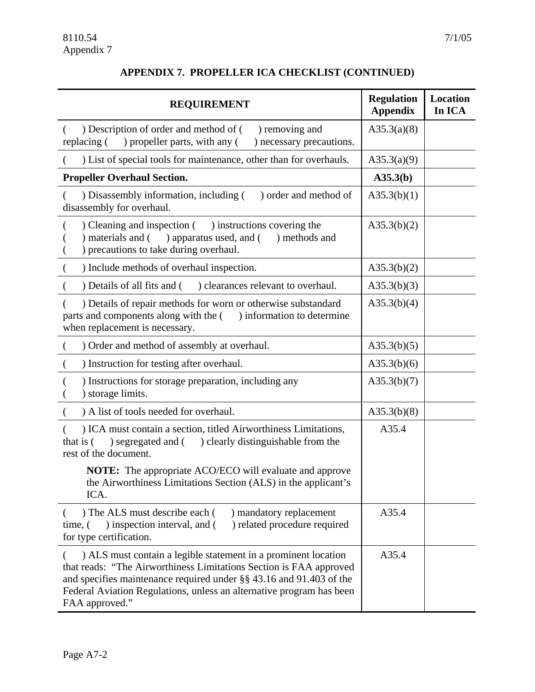#### **APPENDIX 7. PROPELLER ICA CHECKLIST (CONTINUED)**

| <b>REQUIREMENT</b>                                                                                                                                                                                                                                                                                        | <b>Regulation</b><br><b>Appendix</b> | <b>Location</b><br>In ICA |
|-----------------------------------------------------------------------------------------------------------------------------------------------------------------------------------------------------------------------------------------------------------------------------------------------------------|--------------------------------------|---------------------------|
| ) Description of order and method of (<br>) removing and<br>(<br>) propeller parts, with any (<br>replacing (<br>) necessary precautions.                                                                                                                                                                 | A35.3(a)(8)                          |                           |
| ) List of special tools for maintenance, other than for overhauls.                                                                                                                                                                                                                                        | A35.3(a)(9)                          |                           |
| <b>Propeller Overhaul Section.</b>                                                                                                                                                                                                                                                                        | A35.3(b)                             |                           |
| ) order and method of<br>) Disassembly information, including (<br>disassembly for overhaul.                                                                                                                                                                                                              | A35.3(b)(1)                          |                           |
| Cleaning and inspection () instructions covering the<br>) apparatus used, and (<br>materials and (<br>) methods and<br>) precautions to take during overhaul.                                                                                                                                             | A35.3(b)(2)                          |                           |
| ) Include methods of overhaul inspection.<br>$\left($                                                                                                                                                                                                                                                     | A35.3(b)(2)                          |                           |
| ) clearances relevant to overhaul.<br>) Details of all fits and (                                                                                                                                                                                                                                         | A35.3(b)(3)                          |                           |
| ) Details of repair methods for worn or otherwise substandard<br>parts and components along with the (<br>) information to determine<br>when replacement is necessary.                                                                                                                                    | A35.3(b)(4)                          |                           |
| ) Order and method of assembly at overhaul.<br>€                                                                                                                                                                                                                                                          | A35.3(b)(5)                          |                           |
| ) Instruction for testing after overhaul.<br>€                                                                                                                                                                                                                                                            | A35.3(b)(6)                          |                           |
| ) Instructions for storage preparation, including any<br>) storage limits.                                                                                                                                                                                                                                | A35.3(b)(7)                          |                           |
| ) A list of tools needed for overhaul.                                                                                                                                                                                                                                                                    | A35.3(b)(8)                          |                           |
| ) ICA must contain a section, titled Airworthiness Limitations,<br>that is (<br>) segregated and ( ) clearly distinguishable from the<br>rest of the document.                                                                                                                                            | A35.4                                |                           |
| <b>NOTE:</b> The appropriate ACO/ECO will evaluate and approve<br>the Airworthiness Limitations Section (ALS) in the applicant's<br>ICA.                                                                                                                                                                  |                                      |                           |
| ) The ALS must describe each (<br>) mandatory replacement<br>) related procedure required<br>) inspection interval, and (<br>time, (<br>for type certification.                                                                                                                                           | A35.4                                |                           |
| ) ALS must contain a legible statement in a prominent location<br>that reads: "The Airworthiness Limitations Section is FAA approved<br>and specifies maintenance required under $\S$ § 43.16 and 91.403 of the<br>Federal Aviation Regulations, unless an alternative program has been<br>FAA approved." | A35.4                                |                           |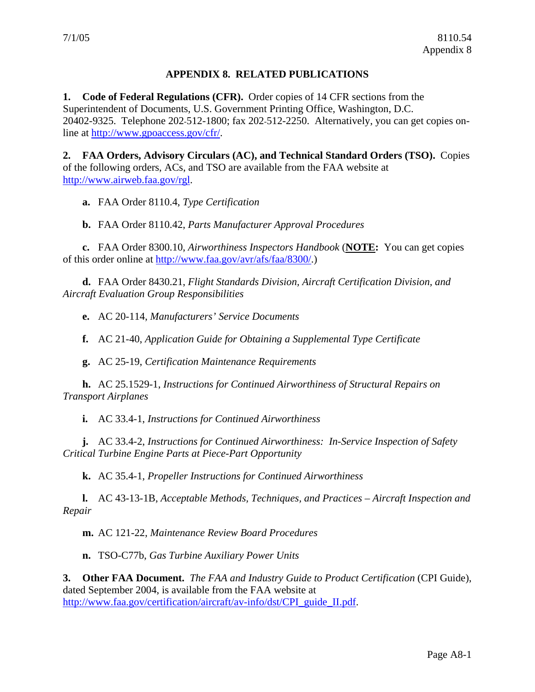#### **APPENDIX 8. RELATED PUBLICATIONS**

<span id="page-58-0"></span>**1. Code of Federal Regulations (CFR).** Order copies of 14 CFR sections from the Superintendent of Documents, U.S. Government Printing Office, Washington, D.C. 20402-9325. Telephone 202-512-1800; fax 202-512-2250. Alternatively, you can get copies online at [http://www.gpoaccess.gov/cfr/.](http://www.gpoaccess.gov/cfr/)

**2. FAA Orders, Advisory Circulars (AC), and Technical Standard Orders (TSO).** Copies of the following orders, ACs, and TSO are available from the FAA website at [http://www.airweb.faa.gov/rgl.](http://www.airweb.faa.gov/rgl)

**a.** FAA Order 8110.4, *Type Certification*

**b.** FAA Order 8110.42, *Parts Manufacturer Approval Procedures*

**c.** FAA Order 8300.10, *Airworthiness Inspectors Handbook* (**NOTE:** You can get copies of this order online at<http://www.faa.gov/avr/afs/faa/8300/>.)

**d.** FAA Order 8430.21, *Flight Standards Division, Aircraft Certification Division, and Aircraft Evaluation Group Responsibilities*

**e.** AC 20-114, *Manufacturers' Service Documents*

**f.** AC 21-40, *Application Guide for Obtaining a Supplemental Type Certificate*

**g.** AC 25-19, *Certification Maintenance Requirements*

**h.** AC 25.1529-1, *Instructions for Continued Airworthiness of Structural Repairs on Transport Airplanes*

**i.** AC 33.4-1, *Instructions for Continued Airworthiness*

**j.** AC 33.4-2, *Instructions for Continued Airworthiness: In-Service Inspection of Safety Critical Turbine Engine Parts at Piece-Part Opportunity*

**k.** AC 35.4-1, *Propeller Instructions for Continued Airworthiness*

**l.** AC 43-13-1B, *Acceptable Methods, Techniques, and Practices – Aircraft Inspection and Repair*

**m.** AC 121-22, *Maintenance Review Board Procedures*

**n.** TSO-C77b, *Gas Turbine Auxiliary Power Units*

**3. Other FAA Document.** *The FAA and Industry Guide to Product Certification* (CPI Guide), dated September 2004, is available from the FAA website at [http://www.faa.gov/certification/aircraft/av-info/dst/CPI\\_guide\\_II.pdf.](http://www.faa.gov/certification/aircraft/av-info/dst/CPI_guide_II.pdf)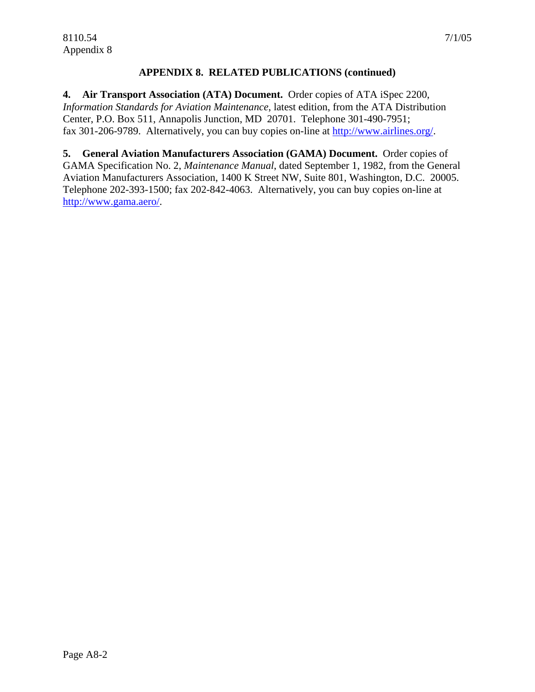#### **APPENDIX 8. RELATED PUBLICATIONS (continued)**

**4. Air Transport Association (ATA) Document.** Order copies of ATA iSpec 2200, *Information Standards for Aviation Maintenance*, latest edition, from the ATA Distribution Center, P.O. Box 511, Annapolis Junction, MD 20701. Telephone 301-490-7951; fax 301-206-9789. Alternatively, you can buy copies on-line at [http://www.airlines.org/.](http://www.airlines.org/)

**5. General Aviation Manufacturers Association (GAMA) Document.** Order copies of GAMA Specification No. 2, *Maintenance Manual*, dated September 1, 1982, from the General Aviation Manufacturers Association, 1400 K Street NW, Suite 801, Washington, D.C. 20005. Telephone 202-393-1500; fax 202-842-4063. Alternatively, you can buy copies on-line at [http://www.gama.aero/.](http://www.gama.aero/)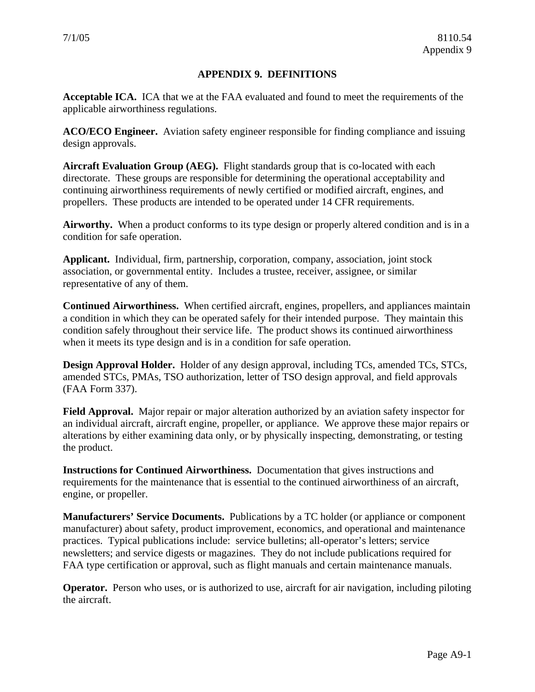#### **APPENDIX 9. DEFINITIONS**

<span id="page-60-0"></span>**Acceptable ICA.** ICA that we at the FAA evaluated and found to meet the requirements of the applicable airworthiness regulations.

**ACO/ECO Engineer.** Aviation safety engineer responsible for finding compliance and issuing design approvals.

**Aircraft Evaluation Group (AEG).** Flight standards group that is co-located with each directorate. These groups are responsible for determining the operational acceptability and continuing airworthiness requirements of newly certified or modified aircraft, engines, and propellers. These products are intended to be operated under 14 CFR requirements.

**Airworthy.** When a product conforms to its type design or properly altered condition and is in a condition for safe operation.

**Applicant.** Individual, firm, partnership, corporation, company, association, joint stock association, or governmental entity. Includes a trustee, receiver, assignee, or similar representative of any of them.

**Continued Airworthiness.** When certified aircraft, engines, propellers, and appliances maintain a condition in which they can be operated safely for their intended purpose. They maintain this condition safely throughout their service life. The product shows its continued airworthiness when it meets its type design and is in a condition for safe operation.

**Design Approval Holder.** Holder of any design approval, including TCs, amended TCs, STCs, amended STCs, PMAs, TSO authorization, letter of TSO design approval, and field approvals (FAA Form 337).

**Field Approval.** Major repair or major alteration authorized by an aviation safety inspector for an individual aircraft, aircraft engine, propeller, or appliance. We approve these major repairs or alterations by either examining data only, or by physically inspecting, demonstrating, or testing the product.

**Instructions for Continued Airworthiness.** Documentation that gives instructions and requirements for the maintenance that is essential to the continued airworthiness of an aircraft, engine, or propeller.

**Manufacturers' Service Documents.** Publications by a TC holder (or appliance or component manufacturer) about safety, product improvement, economics, and operational and maintenance practices. Typical publications include: service bulletins; all-operator's letters; service newsletters; and service digests or magazines. They do not include publications required for FAA type certification or approval, such as flight manuals and certain maintenance manuals.

**Operator.** Person who uses, or is authorized to use, aircraft for air navigation, including piloting the aircraft.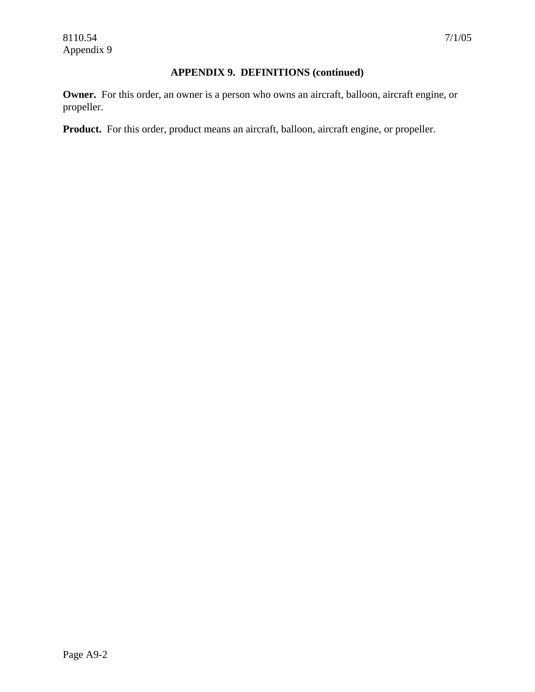#### **APPENDIX 9. DEFINITIONS (continued)**

**Owner.** For this order, an owner is a person who owns an aircraft, balloon, aircraft engine, or propeller.

**Product.** For this order, product means an aircraft, balloon, aircraft engine, or propeller.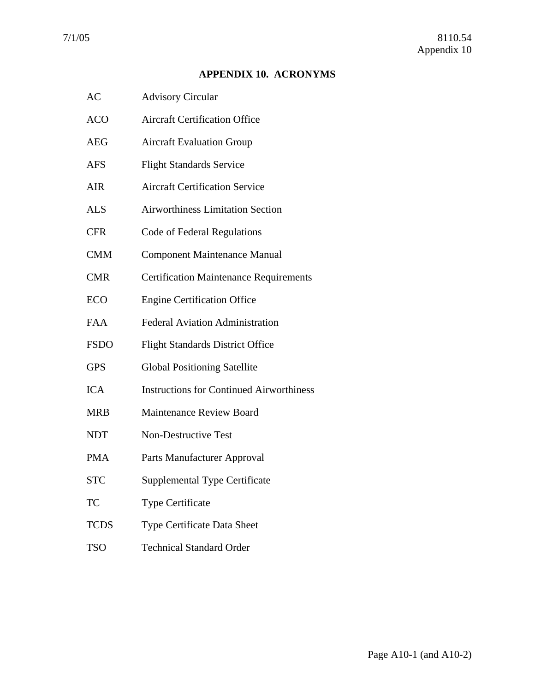#### **APPENDIX 10. ACRONYMS**

- <span id="page-62-0"></span>AC Advisory Circular
- ACO Aircraft Certification Office
- AEG Aircraft Evaluation Group
- AFS Flight Standards Service
- AIR Aircraft Certification Service
- ALS Airworthiness Limitation Section
- CFR Code of Federal Regulations
- CMM Component Maintenance Manual
- CMR Certification Maintenance Requirements
- ECO Engine Certification Office
- FAA Federal Aviation Administration
- FSDO Flight Standards District Office
- GPS Global Positioning Satellite
- ICA Instructions for Continued Airworthiness
- MRB Maintenance Review Board
- NDT Non-Destructive Test
- PMA Parts Manufacturer Approval
- STC Supplemental Type Certificate
- TC Type Certificate
- TCDS Type Certificate Data Sheet
- TSO Technical Standard Order